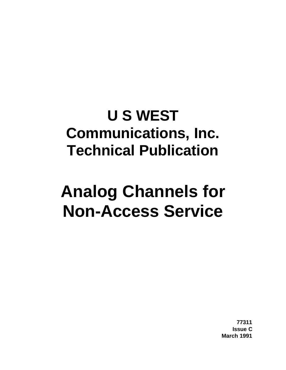# **U S WEST Communications, Inc. Technical Publication**

# **Analog Channels for Non-Access Service**

**77311 Issue C March 1991**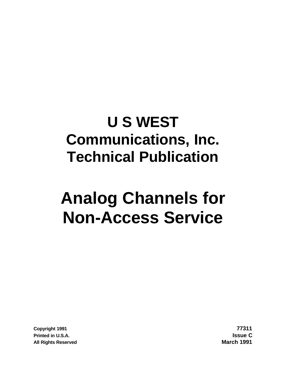# **U S WEST Communications, Inc. Technical Publication**

# **Analog Channels for Non-Access Service**

**Copyright 1991 77311 Printed in U.S.A. Issue C All Rights Reserved March 1991**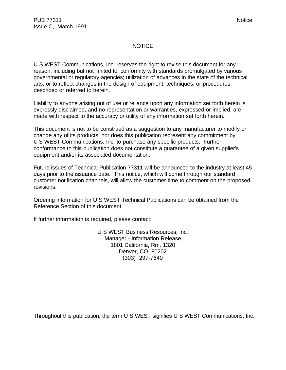#### NOTICE

U S WEST Communications, Inc. reserves the right to revise this document for any reason, including but not limited to, conformity with standards promulgated by various governmental or regulatory agencies; utilization of advances in the state of the technical arts; or to reflect changes in the design of equipment, techniques, or procedures described or referred to herein.

Liability to anyone arising out of use or reliance upon any information set forth herein is expressly disclaimed, and no representation or warranties, expressed or implied, are made with respect to the accuracy or utility of any information set forth herein.

This document is not to be construed as a suggestion to any manufacturer to modify or change any of its products, nor does this publication represent any commitment by U S WEST Communications, Inc. to purchase any specific products. Further, conformance to this publication does not constitute a guarantee of a given supplier's equipment and/or its associated documentation.

Future issues of Technical Publication 77311 will be announced to the industry at least 45 days prior to the issuance date. This notice, which will come through our standard customer notification channels, will allow the customer time to comment on the proposed revisions.

Ordering information for U S WEST Technical Publications can be obtained from the Reference Section of this document.

If further information is required, please contact:

U S WEST Business Resources, Inc. Manager - Information Release 1801 California, Rm. 1320 Denver, CO 80202 (303) 297-7640

Throughout this publication, the term U S WEST signifies U S WEST Communications, Inc.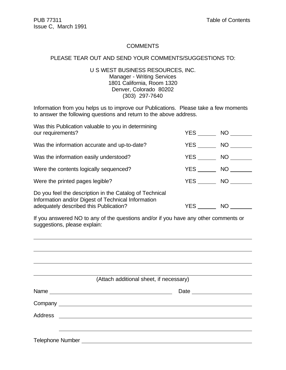#### **COMMENTS**

#### PLEASE TEAR OUT AND SEND YOUR COMMENTS/SUGGESTIONS TO:

### U S WEST BUSINESS RESOURCES, INC. Manager - Writing Services 1801 California, Room 1320 Denver, Colorado 80202 (303) 297-7640

Information from you helps us to improve our Publications. Please take a few moments to answer the following questions and return to the above address.

| Was this Publication valuable to you in determining<br>our requirements?                                                                                | YES        | NO.       |
|---------------------------------------------------------------------------------------------------------------------------------------------------------|------------|-----------|
| Was the information accurate and up-to-date?                                                                                                            | <b>YES</b> | NO        |
| Was the information easily understood?                                                                                                                  | YES        | NO        |
| Were the contents logically sequenced?                                                                                                                  | YES        | NO        |
| Were the printed pages legible?                                                                                                                         | YES        | <b>NO</b> |
| Do you feel the description in the Catalog of Technical<br>Information and/or Digest of Technical Information<br>adequately described this Publication? | YES        | <b>NO</b> |

If you answered NO to any of the questions and/or if you have any other comments or suggestions, please explain:

| (Attach additional sheet, if necessary)                                                                                                                                                                                        |  |
|--------------------------------------------------------------------------------------------------------------------------------------------------------------------------------------------------------------------------------|--|
|                                                                                                                                                                                                                                |  |
|                                                                                                                                                                                                                                |  |
|                                                                                                                                                                                                                                |  |
|                                                                                                                                                                                                                                |  |
| Telephone Number and the contract of the contract of the contract of the contract of the contract of the contract of the contract of the contract of the contract of the contract of the contract of the contract of the contr |  |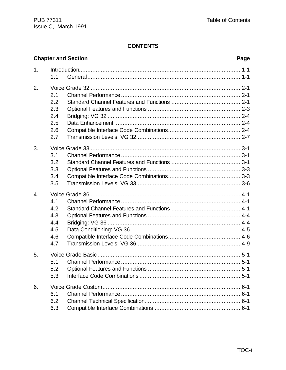# **CONTENTS**

|    | <b>Chapter and Section</b> |  |  |  |
|----|----------------------------|--|--|--|
| 1. |                            |  |  |  |
|    | 1.1                        |  |  |  |
| 2. |                            |  |  |  |
|    | 2.1                        |  |  |  |
|    | 2.2                        |  |  |  |
|    | 2.3                        |  |  |  |
|    | 2.4                        |  |  |  |
|    | 2.5                        |  |  |  |
|    | 2.6                        |  |  |  |
|    | 2.7                        |  |  |  |
| 3. |                            |  |  |  |
|    | 3.1                        |  |  |  |
|    | 3.2                        |  |  |  |
|    | 3.3                        |  |  |  |
|    | 3.4                        |  |  |  |
|    | 3.5                        |  |  |  |
| 4. |                            |  |  |  |
|    | 4.1                        |  |  |  |
|    | 4.2                        |  |  |  |
|    | 4.3                        |  |  |  |
|    | 4.4                        |  |  |  |
|    | 4.5                        |  |  |  |
|    | 4.6                        |  |  |  |
|    | 4.7                        |  |  |  |
| 5. |                            |  |  |  |
|    |                            |  |  |  |
|    | 5.2                        |  |  |  |
|    | 5.3                        |  |  |  |
| 6. |                            |  |  |  |
|    | 6.1                        |  |  |  |
|    | 6.2                        |  |  |  |
|    | 6.3                        |  |  |  |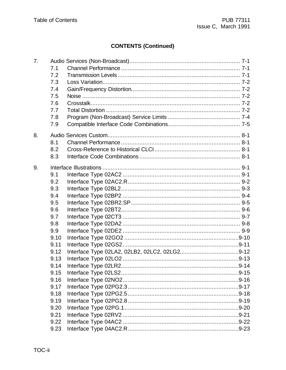# **CONTENTS (Continued)**

| 7. |      |  |
|----|------|--|
|    | 7.1  |  |
|    | 7.2  |  |
|    | 7.3  |  |
|    | 7.4  |  |
|    | 7.5  |  |
|    | 7.6  |  |
|    | 7.7  |  |
|    | 7.8  |  |
|    | 7.9  |  |
| 8. |      |  |
|    | 8.1  |  |
|    | 8.2  |  |
|    |      |  |
|    | 8.3  |  |
| 9. |      |  |
|    | 9.1  |  |
|    | 9.2  |  |
|    | 9.3  |  |
|    | 9.4  |  |
|    | 9.5  |  |
|    | 9.6  |  |
|    | 9.7  |  |
|    | 9.8  |  |
|    | 9.9  |  |
|    | 9.10 |  |
|    | 9.11 |  |
|    | 9.12 |  |
|    | 9.13 |  |
|    | 9.14 |  |
|    | 9.15 |  |
|    | 9.16 |  |
|    | 9.17 |  |
|    | 9.18 |  |
|    | 9.19 |  |
|    | 9.20 |  |
|    | 9.21 |  |
|    | 9.22 |  |
|    | 9.23 |  |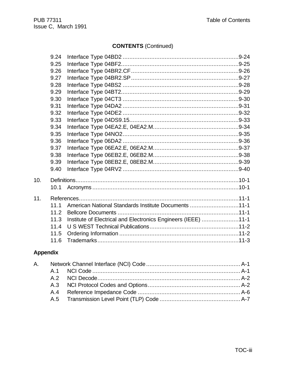# **CONTENTS (Continued)**

|     | 9.24 |                                                               |  |
|-----|------|---------------------------------------------------------------|--|
|     | 9.25 |                                                               |  |
|     | 9.26 |                                                               |  |
|     | 9.27 |                                                               |  |
|     | 9.28 |                                                               |  |
|     | 9.29 |                                                               |  |
|     | 9.30 |                                                               |  |
|     | 9.31 |                                                               |  |
|     | 9.32 |                                                               |  |
|     | 9.33 |                                                               |  |
|     | 9.34 |                                                               |  |
|     | 9.35 |                                                               |  |
|     | 9.36 |                                                               |  |
|     | 9.37 |                                                               |  |
|     | 9.38 |                                                               |  |
|     | 9.39 |                                                               |  |
|     | 9.40 |                                                               |  |
| 10. |      |                                                               |  |
|     | 10.1 |                                                               |  |
| 11. |      |                                                               |  |
|     | 11.1 | American National Standards Institute Documents 11-1          |  |
|     | 11.2 |                                                               |  |
|     | 11.3 | Institute of Electrical and Electronics Engineers (IEEE) 11-1 |  |
|     | 11.4 |                                                               |  |
|     | 11.5 |                                                               |  |
|     | 11.6 |                                                               |  |

# **Appendix**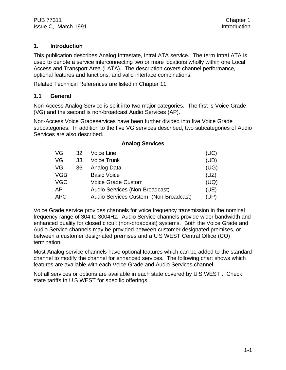# **1. Introduction**

This publication describes Analog Intrastate, IntraLATA service. The term IntraLATA is used to denote a service interconnecting two or more locations wholly within one Local Access and Transport Area (LATA). The description covers channel performance, optional features and functions, and valid interface combinations.

Related Technical References are listed in Chapter 11.

# **1.1 General**

Non-Access Analog Service is split into two major categories. The first is Voice Grade (VG) and the second is non-broadcast Audio Services (AP).

Non-Access Voice Gradeservices have been further divided into five Voice Grade subcategories. In addition to the five VG services described, two subcategories of Audio Services are also described.

**Analog Services**

| VG         | 32 | Voice Line                            | (UC) |
|------------|----|---------------------------------------|------|
| VG         | 33 | <b>Voice Trunk</b>                    | (UD) |
| VG         | 36 | Analog Data                           | (UG) |
| <b>VGB</b> |    | <b>Basic Voice</b>                    | (UZ) |
| <b>VGC</b> |    | <b>Voice Grade Custom</b>             | (UQ) |
| AP         |    | Audio Services (Non-Broadcast)        | (UE) |
| <b>APC</b> |    | Audio Services Custom (Non-Broadcast) | (UP) |

Voice Grade service provides channels for voice frequency transmission in the nominal frequency range of 304 to 3004Hz. Audio Service channels provide wider bandwidth and enhanced quality for closed circuit (non-broadcast) systems. Both the Voice Grade and Audio Service channels may be provided between customer designated premises, or between a customer designated premises and a U S WEST Central Office (CO) termination.

Most Analog service channels have optional features which can be added to the standard channel to modify the channel for enhanced services. The following chart shows which features are available with each Voice Grade and Audio Services channel.

Not all services or options are available in each state covered by U S WEST . Check state tariffs in U S WEST for specific offerings.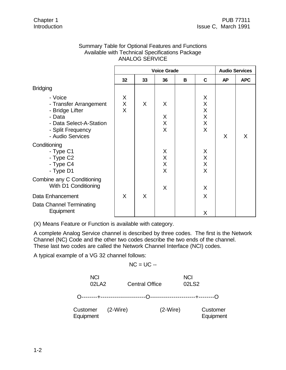|                                                                                                                                    |                        | AINALUU JEKVIUE |                                       |   |                                                               |           |            |
|------------------------------------------------------------------------------------------------------------------------------------|------------------------|-----------------|---------------------------------------|---|---------------------------------------------------------------|-----------|------------|
|                                                                                                                                    | <b>Voice Grade</b>     |                 |                                       |   | <b>Audio Services</b>                                         |           |            |
|                                                                                                                                    | 32                     | 33              | 36                                    | B | C                                                             | <b>AP</b> | <b>APC</b> |
| <b>Bridging</b>                                                                                                                    |                        |                 |                                       |   |                                                               |           |            |
| - Voice<br>- Transfer Arrangement<br>- Bridge Lifter<br>- Data<br>- Data Select-A-Station<br>- Split Frequency<br>- Audio Services | X<br>X<br>$\mathsf{X}$ | X               | X<br>X<br>X<br>X                      |   | X<br>X<br>$\sf X$<br>$\mathsf X$<br>$\pmb{\times}$<br>$\sf X$ | X         | X          |
| Conditioning<br>- Type C1<br>- Type C2<br>- Type C4<br>- Type D1                                                                   |                        |                 | X<br>$\mathsf X$<br>$\mathsf{X}$<br>X |   | X<br>$\mathsf X$<br>$\overline{\mathsf{X}}$<br>$\sf X$        |           |            |
| Combine any C Conditioning<br>With D1 Conditioning                                                                                 |                        |                 | X                                     |   | X                                                             |           |            |
| Data Enhancement<br>Data Channel Terminating<br>Equipment                                                                          | $\sf X$                | X               |                                       |   | $\sf X$<br>X                                                  |           |            |

# Summary Table for Optional Features and Functions Available with Technical Specifications Package ANALOG SERVICE

(X) Means Feature or Function is available with category.

A complete Analog Service channel is described by three codes. The first is the Network Channel (NC) Code and the other two codes describe the two ends of the channel. These last two codes are called the Network Channel Interface (NCI) codes.

A typical example of a VG 32 channel follows:

 $NC = UC -$ 

| <b>NCI</b><br>02LA2            |  | <b>Central Office</b> | <b>NCI</b><br>02LS2 |                       |  |
|--------------------------------|--|-----------------------|---------------------|-----------------------|--|
|                                |  |                       |                     |                       |  |
| Customer (2-Wire)<br>Equipment |  |                       | $(2-Wire)$          | Customer<br>Equipment |  |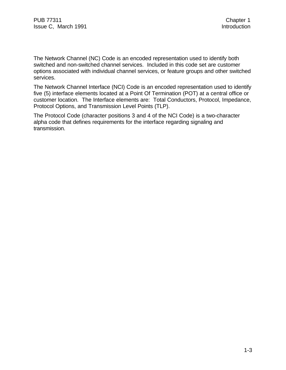The Network Channel (NC) Code is an encoded representation used to identify both switched and non-switched channel services. Included in this code set are customer options associated with individual channel services, or feature groups and other switched services.

The Network Channel Interface (NCI) Code is an encoded representation used to identify five (5) interface elements located at a Point Of Termination (POT) at a central office or customer location. The Interface elements are: Total Conductors, Protocol, Impedance, Protocol Options, and Transmission Level Points (TLP).

The Protocol Code (character positions 3 and 4 of the NCI Code) is a two-character alpha code that defines requirements for the interface regarding signaling and transmission.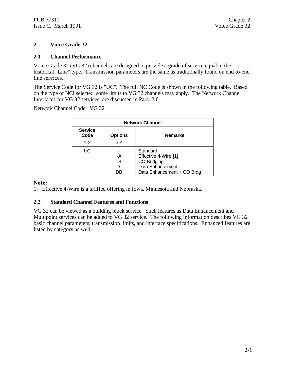# **2. Voice Grade 32**

#### **2.1 Channel Performance**

Voice Grade 32 (VG 32) channels are designed to provide a grade of service equal to the historical "Line" type. Transmission parameters are the same as traditionally found on end-to-end line services.

The Service Code for VG 32 is "UC". The full NC Code is shown in the following table. Based on the type of NCI selected, some limits to VG 32 channels may apply. The Network Channel Interfaces for VG 32 services, are discussed in Para. 2.6.

Network Channel Code: VG 32

| <b>Network Channel</b> |                      |                                                                                                   |  |  |
|------------------------|----------------------|---------------------------------------------------------------------------------------------------|--|--|
| <b>Service</b><br>Code | <b>Options</b>       | <b>Remarks</b>                                                                                    |  |  |
| $1 - 2$                | $3 - 4$              |                                                                                                   |  |  |
| UC                     | -A<br>-B<br>D-<br>DΒ | Standard<br>Effective 4-Wire [1]<br>CO Bridging<br>Data Enhancement<br>Data Enhancement + CO Brdg |  |  |

#### **Note:**

1. Effective 4-Wire is a tariffed offering in Iowa, Minnesota and Nebraska.

#### **2.2 Standard Channel Features and Functions**

VG 32 can be viewed as a building block service. Such features as Data Enhancement and Multipoint services can be added to VG 32 service. The following information describes VG 32 basic channel parameters, transmission limits, and interface specifications. Enhanced features are listed by category as well.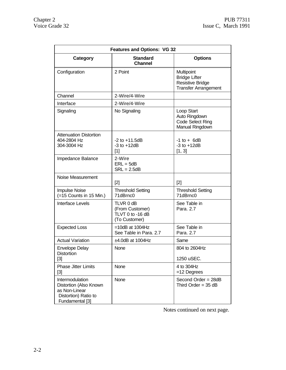| <b>Features and Options: VG 32</b>                                                                    |                                                                   |                                                                                              |  |  |  |
|-------------------------------------------------------------------------------------------------------|-------------------------------------------------------------------|----------------------------------------------------------------------------------------------|--|--|--|
| Category                                                                                              | <b>Standard</b><br><b>Channel</b>                                 | <b>Options</b>                                                                               |  |  |  |
| Configuration                                                                                         | 2 Point                                                           | Multipoint<br><b>Bridge Lifter</b><br><b>Resistive Bridge</b><br><b>Transfer Arrangement</b> |  |  |  |
| Channel                                                                                               | 2-Wire/4-Wire                                                     |                                                                                              |  |  |  |
| Interface                                                                                             | 2-Wire/4-Wire                                                     |                                                                                              |  |  |  |
| Signaling                                                                                             | No Signaling                                                      | Loop Start<br>Auto Ringdown<br>Code Select Ring<br>Manual Ringdown                           |  |  |  |
| <b>Attenuation Distortion</b><br>404-2804 Hz<br>304-3004 Hz                                           | $-2$ to $+11.5dB$<br>$-3$ to $+12dB$<br>$[1]$                     | $-1$ to $+$ 6dB<br>$-3$ to $+12dB$<br>[1, 3]                                                 |  |  |  |
| Impedance Balance                                                                                     | 2-Wire<br>$ERL = 5dB$<br>$SRL = 2.5dB$                            |                                                                                              |  |  |  |
| Noise Measurement                                                                                     | $[2]$                                                             | $[2]$                                                                                        |  |  |  |
| Impulse Noise<br>(=15 Counts in 15 Min.)                                                              | <b>Threshold Setting</b><br>71dBrnc0                              | <b>Threshold Setting</b><br>71dBrnc0                                                         |  |  |  |
| <b>Interface Levels</b>                                                                               | TLVR 0 dB<br>(From Customer)<br>TLVT 0 to -16 dB<br>(To Customer) | See Table in<br>Para. 2.7                                                                    |  |  |  |
| <b>Expected Loss</b>                                                                                  | $=10dB$ at 1004Hz<br>See Table in Para. 2.7                       | See Table in<br>Para. 2.7                                                                    |  |  |  |
| <b>Actual Variation</b>                                                                               | ±4.0dB at 1004Hz                                                  | Same                                                                                         |  |  |  |
| <b>Envelope Delay</b><br>Distortion<br>$[3]$                                                          | None                                                              | 804 to 2604Hz<br>1250 uSEC.                                                                  |  |  |  |
| <b>Phase Jitter Limits</b><br>[3]                                                                     | None                                                              | 4 to 304Hz<br>$=12$ Degrees                                                                  |  |  |  |
| Intermodulation<br>Distortion (Also Known<br>as Non-Linear<br>Distortion) Ratio to<br>Fundamental [3] | <b>None</b>                                                       | Second Order = 28dB<br>Third Order = $35$ dB                                                 |  |  |  |

Notes continued on next page.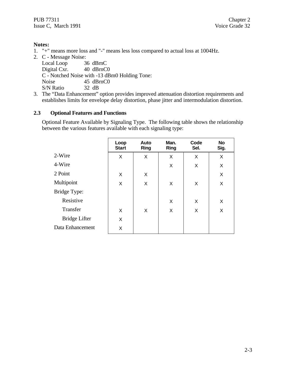1. "+" means more loss and "-" means less loss compared to actual loss at 1004Hz.

2. C - Message Noise: Local Loop 36 dBrnC Digital Cxr. 40 dBrnC0 C - Notched Noise with -13 dBm0 Holding Tone: Noise 45 dBrnC0 S/N Ratio 32 dB

3. The "Data Enhancement" option provides improved attenuation distortion requirements and establishes limits for envelope delay distortion, phase jitter and intermodulation distortion.

# **2.3 Optional Features and Functions**

Optional Feature Available by Signaling Type. The following table shows the relationship between the various features available with each signaling type:

|                  | Loop<br><b>Start</b> | Auto<br><b>Ring</b> | Man.<br><b>Ring</b> | Code<br>Sel. | <b>No</b><br>Sig. |
|------------------|----------------------|---------------------|---------------------|--------------|-------------------|
| 2-Wire           | X                    | X                   | X                   | X            | X                 |
| 4-Wire           |                      |                     | X                   | X            | X                 |
| 2 Point          | X                    | X                   |                     |              | X                 |
| Multipoint       | X                    | X                   | X                   | X            | X                 |
| Bridge Type:     |                      |                     |                     |              |                   |
| Resistive        |                      |                     | X                   | X            | X                 |
| Transfer         | X                    | X                   | X                   | X            | X                 |
| Bridge Lifter    | X                    |                     |                     |              |                   |
| Data Enhancement | X                    |                     |                     |              |                   |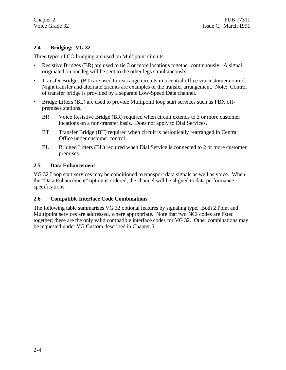# **2.4 Bridging: VG 32**

Three types of CO bridging are used on Multipoint circuits.

- Resistive Bridges (BR) are used to tie 3 or more locations together continuously. A signal originated on one leg will be sent to the other legs simultaneously.
- Transfer Bridges (BT) are used to rearrange circuits in a central office via customer control. Night transfer and alternate circuits are examples of the transfer arrangement. Note: Control of transfer bridge is provided by a separate Low-Speed Data channel.
- Bridge Lifters (BL) are used to provide Multipoint loop start services such as PBX offpremises stations.
	- BR Voice Resistive Bridge (BR) required when circuit extends to 3 or more customer locations on a non-transfer basis. Does not apply to Dial Services.
	- BT Transfer Bridge (BT) required when circuit is periodically rearranged in Central Office under customer control.
	- BL Bridged Lifters (BL) required when Dial Service is connected to 2 or more customer premises.

#### **2.5 Data Enhancement**

VG 32 Loop start services may be conditioned to transport data signals as well as voice. When the "Data Enhancement" option is ordered, the channel will be aligned to data performance specifications.

# **2.6 Compatible Interface Code Combinations**

The following table summarizes VG 32 optional features by signaling type. Both 2 Point and Multipoint services are addressed, where appropriate. Note that two NCI codes are listed together; these are the only valid compatible interface codes for VG 32. Other combinations may be requested under VG Custom described in Chapter 6.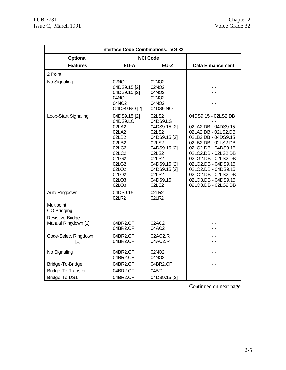| <b>Interface Code Combinations: VG 32</b>                                   |                                                                                                                                                              |                                                                                                                                                                     |                                                                                                                                                                                                                                                                                                         |
|-----------------------------------------------------------------------------|--------------------------------------------------------------------------------------------------------------------------------------------------------------|---------------------------------------------------------------------------------------------------------------------------------------------------------------------|---------------------------------------------------------------------------------------------------------------------------------------------------------------------------------------------------------------------------------------------------------------------------------------------------------|
| <b>Optional</b>                                                             |                                                                                                                                                              | <b>NCI Code</b>                                                                                                                                                     |                                                                                                                                                                                                                                                                                                         |
| <b>Features</b>                                                             | EU-A                                                                                                                                                         | EU-Z                                                                                                                                                                | <b>Data Enhancement</b>                                                                                                                                                                                                                                                                                 |
| 2 Point                                                                     |                                                                                                                                                              |                                                                                                                                                                     |                                                                                                                                                                                                                                                                                                         |
| No Signaling                                                                | 02NO <sub>2</sub><br>04DS9.15 [2]<br>04DS9.15 [2]<br>04NO2<br>04NO <sub>2</sub><br>O4DS9.NO [2]                                                              | 02NO <sub>2</sub><br>02NO <sub>2</sub><br>04NO <sub>2</sub><br>02NO <sub>2</sub><br>04NO <sub>2</sub><br>04DS9.NO                                                   |                                                                                                                                                                                                                                                                                                         |
| Loop-Start Signaling                                                        | 04DS9.15 [2]<br>04DS9.LO<br>02LA2<br>02LA2<br>02LB2<br>02LB2<br>02LC2<br>02LC2<br>02LG2<br>02LG2<br>02LO <sub>2</sub><br>02LO <sub>2</sub><br>02LO3<br>02LO3 | 02LS2<br>04DS9.LS<br>04DS9.15 [2]<br>02LS2<br>04DS9.15 [2]<br>02LS2<br>04DS9.15 [2]<br>02LS2<br>02LS2<br>04DS9.15 [2]<br>04DS9.15 [2]<br>02LS2<br>04DS9.15<br>02LS2 | 04DS9.15 - 02LS2.DB<br>02LA2.DB - 04DS9.15<br>02LA2.DB - 02LS2.DB<br>02LB2.DB - 04DS9.15<br>02LB2.DB - 02LS2.DB<br>02LC2.DB - 04DS9.15<br>02LC2.DB - 02LS2.DB<br>02LG2.DB - 02LS2.DB<br>02LG2.DB - 04DS9.15<br>02LO2.DB - 04DS9.15<br>02LO2.DB - 02LS2.DB<br>02LO3.DB - 04DS9.15<br>02LO3.DB - 02LS2.DB |
| Auto Ringdown                                                               | 04DS9.15<br>02LR2                                                                                                                                            | 02LR2<br>02LR2                                                                                                                                                      |                                                                                                                                                                                                                                                                                                         |
| Multipoint<br>CO Bridging<br><b>Resistive Bridge</b><br>Manual Ringdown [1] | 04BR2.CF                                                                                                                                                     | 02AC2                                                                                                                                                               |                                                                                                                                                                                                                                                                                                         |
|                                                                             | 04BR2.CF                                                                                                                                                     | 04AC2                                                                                                                                                               |                                                                                                                                                                                                                                                                                                         |
| Code-Select Ringdown<br>[1]                                                 | 04BR2.CF<br>04BR2.CF                                                                                                                                         | 02AC2.R<br>04AC2.R                                                                                                                                                  |                                                                                                                                                                                                                                                                                                         |
| No Signaling                                                                | 04BR2.CF<br>04BR2.CF                                                                                                                                         | 02NO <sub>2</sub><br>04NO <sub>2</sub>                                                                                                                              |                                                                                                                                                                                                                                                                                                         |
| Bridge-To-Bridge                                                            | 04BR2.CF                                                                                                                                                     | 04BR2.CF                                                                                                                                                            |                                                                                                                                                                                                                                                                                                         |
| Bridge-To-Transfer                                                          | 04BR2.CF                                                                                                                                                     | 04BT2                                                                                                                                                               |                                                                                                                                                                                                                                                                                                         |
| Bridge-To-DS1                                                               | 04BR2.CF                                                                                                                                                     | 04DS9.15 [2]                                                                                                                                                        | - -                                                                                                                                                                                                                                                                                                     |

Continued on next page.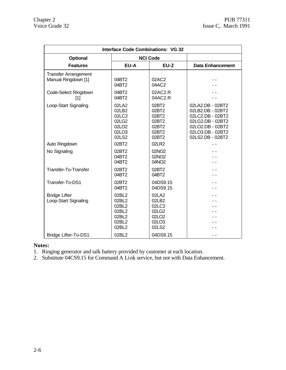| <b>Interface Code Combinations: VG 32</b>          |                                                                         |                                                                         |                                                                                                                                          |  |
|----------------------------------------------------|-------------------------------------------------------------------------|-------------------------------------------------------------------------|------------------------------------------------------------------------------------------------------------------------------------------|--|
| <b>Optional</b>                                    |                                                                         | <b>NCI Code</b>                                                         |                                                                                                                                          |  |
| <b>Features</b>                                    | EU-A                                                                    | EU-Z                                                                    | <b>Data Enhancement</b>                                                                                                                  |  |
| <b>Transfer Arrangement</b><br>Manual Ringdown [1] | 04BT2<br>04BT2                                                          | 02AC2<br>04AC2                                                          |                                                                                                                                          |  |
| Code-Select Ringdown<br>[1]                        | 04BT2<br>04BT2                                                          | 02AC2.R<br>04AC2.R                                                      |                                                                                                                                          |  |
| Loop-Start Signaling                               | 02LA2<br>02LB2<br>02LC2<br>02LG2<br>02LO <sub>2</sub><br>02LO3<br>02LS2 | 02BT2<br>02BT2<br>02BT2<br>02BT2<br>02BT2<br>02BT2<br>02BT2             | 02LA2.DB - 02BT2<br>02LB2.DB - 02BT2<br>02LC2.DB - 02BT2<br>02LG2.DB - 02BT2<br>02LO2.DB - 02BT2<br>02LO3.DB - 02BT2<br>02LS2.DB - 02BT2 |  |
| Auto Ringdown                                      | 02BT2                                                                   | 02LR2                                                                   |                                                                                                                                          |  |
| No Signaling                                       | 02BT2<br>04BT2<br>04BT2                                                 | 02NO <sub>2</sub><br>02NO <sub>2</sub><br>04NO <sub>2</sub>             |                                                                                                                                          |  |
| Transfer-To-Transfer                               | 02BT2<br>04BT2                                                          | 02BT2<br>04BT2                                                          |                                                                                                                                          |  |
| Transfer-To-DS1                                    | 02BT2<br>04BT2                                                          | 04DS9.15<br>04DS9.15                                                    |                                                                                                                                          |  |
| <b>Bridge Lifter</b><br>Loop-Start Signaling       | 02BL2<br>02BL2<br>02BL2<br>02BL2<br>02BL2<br>02BL2<br>02BL2             | 02LA2<br>02LB2<br>02LC2<br>02LG2<br>02LO <sub>2</sub><br>02LO3<br>02LS2 |                                                                                                                                          |  |
| <b>Bridge Lifter-To-DS1</b>                        | 02BL2                                                                   | 04DS9.15                                                                |                                                                                                                                          |  |

1. Ringing generator and talk battery provided by customer at each location.

2. Substitute 04CS9.15 for Command A Link service, but not with Data Enhancement.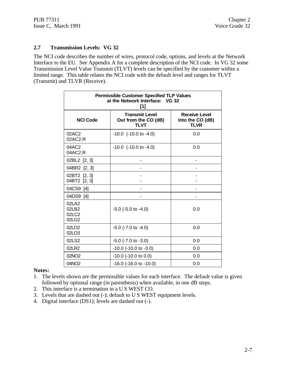#### **2.7 Transmission Levels: VG 32**

The NCI code describes the number of wires, protocol code, options, and levels at the Network Interface to the EU. See Appendix A for a complete description of the NCI code. In VG 32 some Transmission Level Value Transmit (TLVT) levels can be specified by the customer within a limited range. This table relates the NCI code with the default level and ranges for TLVT (Transmit) and TLVR (Receive).

| <b>Permissible Customer Specified TLP Values</b><br>at the Network Interface: VG 32<br>[1] |                                                              |                                                         |  |
|--------------------------------------------------------------------------------------------|--------------------------------------------------------------|---------------------------------------------------------|--|
| <b>NCI Code</b>                                                                            | <b>Transmit Level</b><br>Out from the CO (dB)<br><b>TLVT</b> | <b>Receive Level</b><br>Into the CO (dB)<br><b>TLVR</b> |  |
| 02AC2<br>02AC2.R                                                                           | $-10.0$ ( $-10.0$ to $-4.0$ )                                | 0.0                                                     |  |
| 04AC2<br>04AC2.R                                                                           | $-10.0$ ( $-10.0$ to $-4.0$ )                                | 0.0                                                     |  |
| 02BL2 [2, 3]                                                                               |                                                              |                                                         |  |
| 04BR2 [2, 3]                                                                               |                                                              |                                                         |  |
| 02BT2 [2, 3]<br>04BT2 [2, 3]                                                               |                                                              |                                                         |  |
| 04CS9 [4]                                                                                  |                                                              |                                                         |  |
| 04DS9 [4]                                                                                  |                                                              |                                                         |  |
| 02LA2<br>02LB2<br>02LC2<br>02LG2                                                           | $-5.0$ ( $-5.0$ to $-4.0$ )                                  | 0.0                                                     |  |
| 02LO <sub>2</sub><br>02LO3                                                                 | $-5.0$ ( $-7.0$ to $-4.0$ )                                  | 0.0                                                     |  |
| 02LS2                                                                                      | $-5.0$ ( $-7.0$ to $-3.0$ )                                  | 0.0                                                     |  |
| 02LR2                                                                                      | -10.0 (-10.0 to -3.0)                                        | 0.0                                                     |  |
| 02NO <sub>2</sub>                                                                          | $-10.0$ ( $-10.0$ to 0.0)                                    | 0.0                                                     |  |
| 04NO2                                                                                      | $-16.0$ ( $-16.0$ to $-10.0$ )<br>0.0                        |                                                         |  |

#### **Notes:**

- 1. The levels shown are the permissible values for each interface. The default value is given followed by optional range (in parenthesis) when available, in one dB steps.
- 2. This interface is a termination in a U S WEST CO.
- 3. Levels that are dashed out (-); default to U S WEST equipment levels.
- 4. Digital interface (DS1); levels are dashed out (-).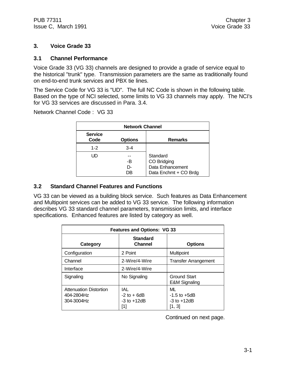# **3. Voice Grade 33**

# **3.1 Channel Performance**

Voice Grade 33 (VG 33) channels are designed to provide a grade of service equal to the historical "trunk" type. Transmission parameters are the same as traditionally found on end-to-end trunk services and PBX tie lines.

The Service Code for VG 33 is "UD". The full NC Code is shown in the following table. Based on the type of NCI selected, some limits to VG 33 channels may apply. The NCI's for VG 33 services are discussed in Para. 3.4.

Network Channel Code : VG 33

| <b>Network Channel</b> |                |                                                                      |  |
|------------------------|----------------|----------------------------------------------------------------------|--|
| <b>Service</b><br>Code | <b>Options</b> | <b>Remarks</b>                                                       |  |
| $1 - 2$                | $3 - 4$        |                                                                      |  |
| UD                     | -B<br>D-<br>nв | Standard<br>CO Bridging<br>Data Enhancement<br>Data Enchmt + CO Brdg |  |

# **3.2 Standard Channel Features and Functions**

VG 33 can be viewed as a building block service. Such features as Data Enhancement and Multipoint services can be added to VG 33 service. The following information describes VG 33 standard channel parameters, transmission limits, and interface specifications. Enhanced features are listed by category as well.

| <b>Features and Options: VG 33</b>                        |                                                  |                                                     |  |
|-----------------------------------------------------------|--------------------------------------------------|-----------------------------------------------------|--|
| Category                                                  | <b>Standard</b><br><b>Channel</b>                | <b>Options</b>                                      |  |
| Configuration                                             | 2 Point                                          | Multipoint                                          |  |
| Channel                                                   | 2-Wire/4-Wire                                    | <b>Transfer Arrangement</b>                         |  |
| Interface                                                 | 2-Wire/4-Wire                                    |                                                     |  |
| Signaling                                                 | No Signaling                                     | Ground Start<br><b>E&amp;M Signaling</b>            |  |
| <b>Attenuation Distortion</b><br>404-2804Hz<br>304-3004Hz | IAL<br>$-2$ to $+6$ dB<br>$-3$ to $+12dB$<br>[1] | ML<br>$-1.5$ to $+5dB$<br>$-3$ to $+12dB$<br>[1, 3] |  |

Continued on next page.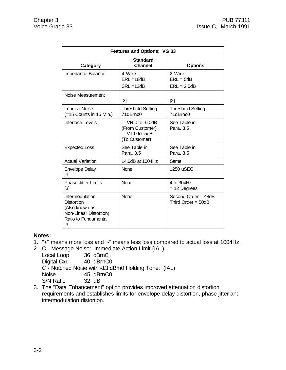| <b>Features and Options: VG 33</b>                                                                                |                                                                        |                                             |  |
|-------------------------------------------------------------------------------------------------------------------|------------------------------------------------------------------------|---------------------------------------------|--|
| Category                                                                                                          | <b>Standard</b><br><b>Channel</b>                                      | <b>Options</b>                              |  |
| Impedance Balance                                                                                                 | 4-Wire<br>$ERL = 18dB$<br>$SRL = 12dB$                                 | 2-Wire<br>$ERL = 5dB$<br>$ERL = 2.5dB$      |  |
| Noise Measurement                                                                                                 | [2]                                                                    | [2]                                         |  |
| <b>Impulse Noise</b><br>(=15 Counts in 15 Min.)                                                                   | <b>Threshold Setting</b><br>71dBrnc0                                   | <b>Threshold Setting</b><br>71dBrnc0        |  |
| Interface Levels                                                                                                  | TLVR 0 to -6.0dB<br>(From Customer)<br>TLVT 0 to -5dB<br>(To Customer) | See Table in<br>Para, 3.5                   |  |
| <b>Expected Loss</b>                                                                                              | See Table in<br>Para, 3.5                                              | See Table in<br>Para, 3.5                   |  |
| <b>Actual Variation</b>                                                                                           | $±4.0$ dB at 1004Hz                                                    | Same                                        |  |
| <b>Envelope Delay</b><br>$[3]$                                                                                    | <b>None</b>                                                            | 1250 uSEC                                   |  |
| <b>Phase Jitter Limits</b><br>[3]                                                                                 | None                                                                   | 4 to 304Hz<br>$= 12$ Degrees                |  |
| Intermodulation<br><b>Distortion</b><br>(Also known as<br>Non-Linear Distortion)<br>Ratio to Fundamental<br>$[3]$ | <b>None</b>                                                            | Second Order = 48dB<br>Third Order = $50dB$ |  |

- 1. "+" means more loss and "-" means less loss compared to actual loss at 1004Hz.
- 2. C Message Noise: Immediate Action Limit (IAL)

Local Loop 36 dBrnC<br>Digital Cxr. 40 dBrnC0

Digital Cxr. C - Notched Noise with -13 dBm0 Holding Tone: (IAL) Noise 45 dBrnC0

S/N Ratio 32 dB

3. The "Data Enhancement" option provides improved attenuation distortion requirements and establishes limits for envelope delay distortion, phase jitter and intermodulation distortion.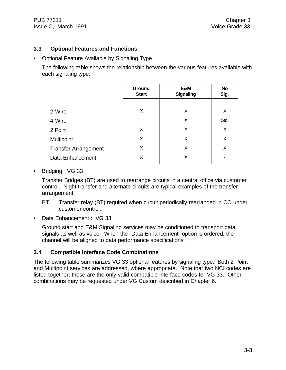# **3.3 Optional Features and Functions**

• Optional Feature Available by Signaling Type

The following table shows the relationship between the various features available with each signaling type:

|                             | Ground<br><b>Start</b> | E&M<br><b>Signaling</b> | <b>No</b><br>Sig. |
|-----------------------------|------------------------|-------------------------|-------------------|
|                             |                        |                         |                   |
| 2-Wire                      | X                      | X                       | X                 |
| 4-Wire                      |                        | X                       | Std.              |
| 2 Point                     | X                      | X                       | X                 |
| Multipoint                  | X                      | X                       | X                 |
| <b>Transfer Arrangement</b> | X                      | X                       | X                 |
| Data Enhancement            | X                      | X                       |                   |
|                             |                        |                         |                   |

• Bridging: VG 33

Transfer Bridges (BT) are used to rearrange circuits in a central office via customer control. Night transfer and alternate circuits are typical examples of the transfer arrangement.

- BT Transfer relay (BT) required when circuit periodically rearranged in CO under customer control.
- Data Enhancement : VG 33

Ground start and E&M Signaling services may be conditioned to transport data signals as well as voice. When the "Data Enhancement" option is ordered, the channel will be aligned to data performance specifications.

# **3.4 Compatible Interface Code Combinations**

The following table summarizes VG 33 optional features by signaling type. Both 2 Point and Multipoint services are addressed, where appropriate. Note that two NCI codes are listed together; these are the only valid compatible interface codes for VG 33. Other combinations may be requested under VG Custom described in Chapter 6.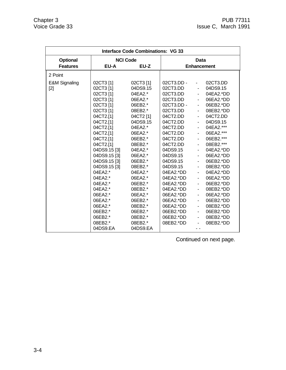| <b>Interface Code Combinations: VG 33</b> |                                                                                                                                                                                                                                                                                                                                                   |                                                                                                                                                                                                                                                                                                              |                                                                                                                                                                                                                                                                                                                                    |                                                                                                                                                                                                                                                                                                                                                                                                                                        |                                                                                                                                                                                                                                                                                                                                            |
|-------------------------------------------|---------------------------------------------------------------------------------------------------------------------------------------------------------------------------------------------------------------------------------------------------------------------------------------------------------------------------------------------------|--------------------------------------------------------------------------------------------------------------------------------------------------------------------------------------------------------------------------------------------------------------------------------------------------------------|------------------------------------------------------------------------------------------------------------------------------------------------------------------------------------------------------------------------------------------------------------------------------------------------------------------------------------|----------------------------------------------------------------------------------------------------------------------------------------------------------------------------------------------------------------------------------------------------------------------------------------------------------------------------------------------------------------------------------------------------------------------------------------|--------------------------------------------------------------------------------------------------------------------------------------------------------------------------------------------------------------------------------------------------------------------------------------------------------------------------------------------|
| <b>Optional</b>                           | <b>NCI Code</b>                                                                                                                                                                                                                                                                                                                                   |                                                                                                                                                                                                                                                                                                              | Data                                                                                                                                                                                                                                                                                                                               |                                                                                                                                                                                                                                                                                                                                                                                                                                        |                                                                                                                                                                                                                                                                                                                                            |
| <b>Features</b>                           | EU-A                                                                                                                                                                                                                                                                                                                                              | EU-Z                                                                                                                                                                                                                                                                                                         |                                                                                                                                                                                                                                                                                                                                    |                                                                                                                                                                                                                                                                                                                                                                                                                                        | <b>Enhancement</b>                                                                                                                                                                                                                                                                                                                         |
| 2 Point                                   |                                                                                                                                                                                                                                                                                                                                                   |                                                                                                                                                                                                                                                                                                              |                                                                                                                                                                                                                                                                                                                                    |                                                                                                                                                                                                                                                                                                                                                                                                                                        |                                                                                                                                                                                                                                                                                                                                            |
| <b>E&amp;M Signaling</b><br>$[2]$         | 02CT3[1]<br>02CT3 [1]<br>02CT3 [1]<br>02CT3 [1]<br>02CT3 [1]<br>02CT3 [1]<br>04CT2.[1]<br>04CT2.[1]<br>04CT2.[1]<br>04CT2.[1]<br>04CT2.[1]<br>04CT2.[1]<br>04DS9.15 [3]<br>04DS9.15 [3]<br>04DS9.15 [3]<br>04DS9.15 [3]<br>04EA2.*<br>04EA2.*<br>04EA2.*<br>04EA2.*<br>06EA2.*<br>06EA2.*<br>06EA2.*<br>06EB2.*<br>06EB2.*<br>08EB2.*<br>04DS9.EA | 02CT3 [1]<br>04DS9.15<br>04EA2.*<br>06EA2.*<br>06EB2.*<br>08EB2.*<br>04CT2 [1]<br>04DS9.15<br>04EA2.*<br>06EA2.*<br>06EB2.*<br>08EB2.*<br>04EA2.*<br>06EA2.*<br>06EB2.*<br>08EB2.*<br>04EA2.*<br>06EA2.*<br>06EB2.*<br>08EB2.*<br>06EA2.*<br>06EB2.*<br>08EB2.*<br>06EB2.*<br>08EB2.*<br>08EB2.*<br>04DS9.EA | 02CT3.DD -<br>02CT3.DD<br>02CT3.DD<br>02CT3.DD<br>02CT3.DD -<br>02CT3.DD<br>04CT2.DD<br>04CT2.DD<br>04CT2.DD<br>04CT2.DD<br>04CT2.DD<br>04CT2.DD<br>04DS9.15<br>04DS9.15<br>04DS9.15<br>04DS9.15<br>04EA2.*DD<br>04EA2.*DD<br>04EA2.*DD<br>04EA2.*DD<br>06EA2.*DD<br>06EA2.*DD<br>06EA2.*DD<br>06EB2.*DD<br>06EB2.*DD<br>08EB2.*DD | $\sim$<br>$\sim 100$<br>$\sim 100$<br>$\omega_{\rm{max}}$<br>$\mathcal{L}^{\text{max}}$<br>$\sim 10$<br>$\sim 10$<br>$\blacksquare$<br>$\blacksquare$<br>$\blacksquare$<br>$\sim 10$<br>$\blacksquare$<br>$\blacksquare$<br>$\blacksquare$<br>$\sim 10$<br>$\mathbf{r}$<br>$\overline{\phantom{0}}$<br>$\blacksquare$<br>$\sim 10$<br>$\blacksquare$<br>$\blacksquare$<br>$\blacksquare$<br>$\sim$<br>$\blacksquare$<br>$\blacksquare$ | 02CT3.DD<br>04DS9.15<br>04EA2.*DD<br>06EA2.*DD<br>06EB2.*DD<br>08EB2.*DD<br>04CT2.DD<br>04DS9.15<br>04EA2.***<br>06EA2.***<br>06EB2.***<br>08EB2.***<br>04EA2.*DD<br>06EA2.*DD<br>06EB2.*DD<br>08EB2.*DD<br>04EA2.*DD<br>06EA2.*DD<br>06EB2.*DD<br>08EB2.*DD<br>06EA2.*DD<br>06EB2.*DD<br>08EB2.*DD<br>06EB2.*DD<br>08EB2.*DD<br>08EB2.*DD |

Continued on next page.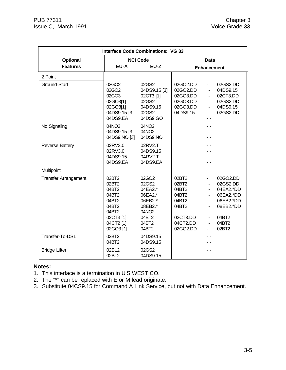| <b>Interface Code Combinations: VG 33</b> |                                                                                         |                                                                                                   |                                                                            |                                                                                                                                                                          |
|-------------------------------------------|-----------------------------------------------------------------------------------------|---------------------------------------------------------------------------------------------------|----------------------------------------------------------------------------|--------------------------------------------------------------------------------------------------------------------------------------------------------------------------|
| <b>Optional</b>                           |                                                                                         | <b>NCI Code</b>                                                                                   |                                                                            | <b>Data</b>                                                                                                                                                              |
| <b>Features</b>                           | EU-A                                                                                    | EU-Z                                                                                              |                                                                            | <b>Enhancement</b>                                                                                                                                                       |
| 2 Point                                   |                                                                                         |                                                                                                   |                                                                            |                                                                                                                                                                          |
| Ground-Start                              | 02GO <sub>2</sub><br>02GO2<br>02GO3<br>02GO3[1]<br>02GO3[1]<br>04DS9.15 [3]<br>04DS9.EA | 02GS2<br>04DS9.15 [3]<br>02CT3 [1]<br>02GS2<br>04DS9.15<br>02GS2<br>04DS9.GO                      | 02GO2.DD<br>02GO2.DD<br>02GO3.DD<br>02GO3.DD<br>02GO3.DD<br>04DS9.15       | 02GS2.DD<br>$\sim$<br>04DS9.15<br>$\blacksquare$<br>02CT3.DD<br>$\blacksquare$<br>02GS2.DD<br>$\blacksquare$<br>04DS9.15<br>$\blacksquare$<br>02GS2.DD<br>$\blacksquare$ |
| No Signaling                              | 04NO2<br>04DS9.15 [3]<br>04DS9.NO [3]                                                   | 04NO2<br>04NO <sub>2</sub><br>04DS9.NO                                                            |                                                                            |                                                                                                                                                                          |
| <b>Reverse Battery</b>                    | 02RV3.0<br>02RV3.0<br>04DS9.15<br>04DS9.EA                                              | 02RV2.T<br>04DS9.15<br>04RV2.T<br>04DS9.EA                                                        |                                                                            |                                                                                                                                                                          |
| Multipoint                                |                                                                                         |                                                                                                   |                                                                            |                                                                                                                                                                          |
| <b>Transfer Arrangement</b>               | 02BT2<br>02BT2<br>04BT2<br>04BT2<br>04BT2<br>04BT2<br>04BT2<br>02CT3 [1]<br>04CT2 [1]   | 02GO2<br>02GS2<br>04EA2.*<br>06EA2.*<br>06EB2.*<br>08EB2.*<br>04NO <sub>2</sub><br>04BT2<br>04BT2 | 02BT2<br>02BT2<br>04BT2<br>04BT2<br>04BT2<br>04BT2<br>02CT3.DD<br>04CT2.DD | 02GO2.DD<br>02GS2.DD<br>$\blacksquare$<br>04EA2.*DD<br>$\overline{\phantom{a}}$<br>06EA2.*DD<br>06EB2.*DD<br>08EB2.*DD<br>04BT2<br>04BT2                                 |
|                                           | 02GO3 [1]                                                                               | 04BT2                                                                                             | 02GO2.DD                                                                   | 02BT2                                                                                                                                                                    |
| Transfer-To-DS1                           | 02BT2<br>04BT2                                                                          | 04DS9.15<br>04DS9.15                                                                              |                                                                            |                                                                                                                                                                          |
| <b>Bridge Lifter</b>                      | 02BL2<br>02BL2                                                                          | 02GS2<br>04DS9.15                                                                                 |                                                                            |                                                                                                                                                                          |

- 1. This interface is a termination in U S WEST CO.
- 2. The "\*" can be replaced with E or M lead originate.
- 3. Substitute 04CS9.15 for Command A Link Service, but not with Data Enhancement.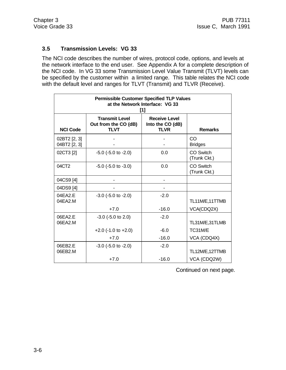# **3.5 Transmission Levels: VG 33**

The NCI code describes the number of wires, protocol code, options, and levels at the network interface to the end user. See Appendix A for a complete description of the NCI code. In VG 33 some Transmission Level Value Transmit (TLVT) levels can be specified by the customer within a limited range. This table relates the NCI code with the default level and ranges for TLVT (Transmit) and TLVR (Receive).

| <b>Permissible Customer Specified TLP Values</b><br>at the Network Interface: VG 33<br>[1] |                                                              |                                                         |                           |
|--------------------------------------------------------------------------------------------|--------------------------------------------------------------|---------------------------------------------------------|---------------------------|
| <b>NCI Code</b>                                                                            | <b>Transmit Level</b><br>Out from the CO (dB)<br><b>TLVT</b> | <b>Receive Level</b><br>Into the CO (dB)<br><b>TLVR</b> | <b>Remarks</b>            |
| 02BT2 [2, 3]<br>04BT2 [2, 3]                                                               |                                                              |                                                         | CO<br><b>Bridges</b>      |
| 02CT3 [2]                                                                                  | $-5.0$ ( $-5.0$ to $-2.0$ )                                  | 0.0                                                     | CO Switch<br>(Trunk Ckt.) |
| 04CT <sub>2</sub>                                                                          | $-5.0$ ( $-5.0$ to $-3.0$ )                                  | 0.0                                                     | CO Switch<br>(Trunk Ckt.) |
| 04CS9 [4]                                                                                  |                                                              |                                                         |                           |
| 04DS9 [4]                                                                                  |                                                              |                                                         |                           |
| 04EA2.E<br>04EA2.M                                                                         | $-3.0$ ( $-5.0$ to $-2.0$ )                                  | $-2.0$                                                  | TL11M/E,11TTMB            |
|                                                                                            | $+7.0$                                                       | $-16.0$                                                 | VCA(CDQ2X)                |
| 06EA2.E<br>06EA2.M                                                                         | $-3.0$ ( $-5.0$ to 2.0)                                      | $-2.0$                                                  | TL31M/E,31TLMB            |
|                                                                                            | $+2.0$ (-1.0 to $+2.0$ )                                     | $-6.0$                                                  | TC31M/E                   |
|                                                                                            | $+7.0$                                                       | $-16.0$                                                 | VCA (CDQ4X)               |
| 06EB2.E<br>06EB2.M                                                                         | $-3.0$ ( $-5.0$ to $-2.0$ )                                  | $-2.0$                                                  | TL12M/E,12TTMB            |
|                                                                                            | $+7.0$                                                       | $-16.0$                                                 | VCA (CDQ2W)               |

Continued on next page.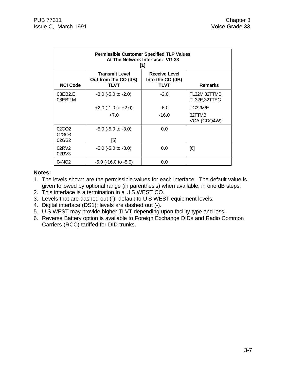| <b>Permissible Customer Specified TLP Values</b><br>At The Network Interface: VG 33<br>[1] |                                                              |                                                         |                              |
|--------------------------------------------------------------------------------------------|--------------------------------------------------------------|---------------------------------------------------------|------------------------------|
| <b>NCI Code</b>                                                                            | <b>Transmit Level</b><br>Out from the CO (dB)<br><b>TLVT</b> | <b>Receive Level</b><br>Into the CO (dB)<br><b>TLVT</b> | <b>Remarks</b>               |
| 08EB2.E<br>08EB2.M                                                                         | $-3.0$ ( $-5.0$ to $-2.0$ )                                  | $-2.0$                                                  | TL32M,32TTMB<br>TL32E,32TTEG |
|                                                                                            | $+2.0$ (-1.0 to $+2.0$ )                                     | $-6.0$                                                  | TC32M/E                      |
|                                                                                            | $+7.0$                                                       | $-16.0$                                                 | 32TTMB<br>VCA (CDQ4W)        |
| 02GO <sub>2</sub><br>02GO3<br>02GS2                                                        | $-5.0$ ( $-5.0$ to $-3.0$ )<br>[5]                           | 0.0                                                     |                              |
| 02RV2<br>02RV3                                                                             | $-5.0$ ( $-5.0$ to $-3.0$ )                                  | 0.0                                                     | [6]                          |
| 04NO <sub>2</sub>                                                                          | $-5.0$ ( $-16.0$ to $-5.0$ )                                 | 0.0                                                     |                              |

- 1. The levels shown are the permissible values for each interface. The default value is given followed by optional range (in parenthesis) when available, in one dB steps.
- 2. This interface is a termination in a U S WEST CO.
- 3. Levels that are dashed out (-); default to U S WEST equipment levels.
- 4. Digital interface (DS1); levels are dashed out (-).
- 5. U S WEST may provide higher TLVT depending upon facility type and loss.
- 6. Reverse Battery option is available to Foreign Exchange DIDs and Radio Common Carriers (RCC) tariffed for DID trunks.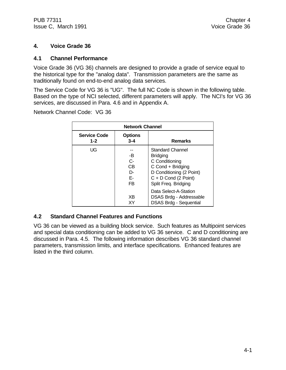# **4. Voice Grade 36**

# **4.1 Channel Performance**

Voice Grade 36 (VG 36) channels are designed to provide a grade of service equal to the historical type for the "analog data". Transmission parameters are the same as traditionally found on end-to-end analog data services.

The Service Code for VG 36 is "UG". The full NC Code is shown in the following table. Based on the type of NCI selected, different parameters will apply. The NCI's for VG 36 services, are discussed in Para. 4.6 and in Appendix A.

Network Channel Code: VG 36

| <b>Network Channel</b>         |                                              |                                                                                                                                                                 |  |
|--------------------------------|----------------------------------------------|-----------------------------------------------------------------------------------------------------------------------------------------------------------------|--|
| <b>Service Code</b><br>$1 - 2$ | <b>Options</b><br>$3 - 4$                    | <b>Remarks</b>                                                                                                                                                  |  |
| UG                             | -B<br>C-<br>CВ<br>D-<br>F-<br>F <sub>B</sub> | <b>Standard Channel</b><br><b>Bridging</b><br>C Conditioning<br>C Cond + Bridging<br>D Conditioning (2 Point)<br>$C + D$ Cond (2 Point)<br>Split Freq. Bridging |  |
|                                | X <sub>R</sub><br>ΧY                         | Data Select-A-Station<br>DSAS Brdg - Addressable<br><b>DSAS Brdg - Sequential</b>                                                                               |  |

# **4.2 Standard Channel Features and Functions**

VG 36 can be viewed as a building block service. Such features as Multipoint services and special data conditioning can be added to VG 36 service. C and D conditioning are discussed in Para. 4.5. The following information describes VG 36 standard channel parameters, transmission limits, and interface specifications. Enhanced features are listed in the third column.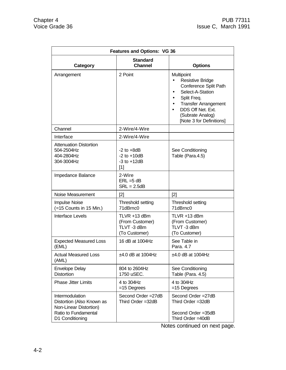| <b>Features and Options: VG 36</b>                                                                                |                                                                |                                                                                                                                                                                                       |  |  |
|-------------------------------------------------------------------------------------------------------------------|----------------------------------------------------------------|-------------------------------------------------------------------------------------------------------------------------------------------------------------------------------------------------------|--|--|
| Category                                                                                                          | <b>Standard</b><br><b>Channel</b>                              | <b>Options</b>                                                                                                                                                                                        |  |  |
| Arrangement                                                                                                       | 2 Point                                                        | Multipoint<br><b>Resistive Bridge</b><br>Conference Split Path<br>Select-A-Station<br>Split Freq.<br><b>Transfer Arrangement</b><br>DDS Off Net. Ext.<br>(Subrate Analog)<br>[Note 3 for Definitions] |  |  |
| Channel                                                                                                           | 2-Wire/4-Wire                                                  |                                                                                                                                                                                                       |  |  |
| Interface                                                                                                         | 2-Wire/4-Wire                                                  |                                                                                                                                                                                                       |  |  |
| <b>Attenuation Distortion</b><br>504-2504Hz<br>404-2804Hz<br>304-3004Hz                                           | $-2$ to $+8dB$<br>$-2$ to $+10dB$<br>$-3$ to $+12dB$<br>$[1]$  | See Conditioning<br>Table (Para 4.5)                                                                                                                                                                  |  |  |
| Impedance Balance                                                                                                 | 2-Wire<br>$ERL = 5 dB$<br>$SRL = 2.5dB$                        |                                                                                                                                                                                                       |  |  |
| Noise Measurement                                                                                                 | [2]                                                            | $[2]$                                                                                                                                                                                                 |  |  |
| <b>Impulse Noise</b><br>(=15 Counts in 15 Min.)                                                                   | Threshold setting<br>71dBrnc0                                  | Threshold setting<br>71dBrnc0                                                                                                                                                                         |  |  |
| Interface Levels                                                                                                  | TLVR +13 dBm<br>(From Customer)<br>TLVT-3 dBm<br>(To Customer) | TLVR +13 dBm<br>(From Customer)<br>TLVT-3 dBm<br>(To Customer)                                                                                                                                        |  |  |
| <b>Expected Measured Loss</b><br>(EML)                                                                            | 16 dB at 1004Hz                                                | See Table in<br>Para. 4.7                                                                                                                                                                             |  |  |
| <b>Actual Measured Loss</b><br>(AML)                                                                              | $±4.0$ dB at 1004Hz                                            | $±4.0$ dB at 1004Hz                                                                                                                                                                                   |  |  |
| <b>Envelope Delay</b><br><b>Distortion</b>                                                                        | 804 to 2604Hz<br>1750 uSEC.                                    | See Conditioning<br>Table (Para. 4.5)                                                                                                                                                                 |  |  |
| <b>Phase Jitter Limits</b>                                                                                        | 4 to 304Hz<br>$=15$ Degrees                                    | 4 to 304Hz<br>$=15$ Degrees                                                                                                                                                                           |  |  |
| Intermodulation<br>Distortion (Also Known as<br>Non-Linear Distortion)<br>Ratio to Fundamental<br>D1 Conditioning | Second Order = 27dB<br>Third Order = 32dB                      | Second Order = 27dB<br>Third Order = 32dB<br>Second Order = 35dB<br>Third Order = 40dB                                                                                                                |  |  |

Notes continued on next page.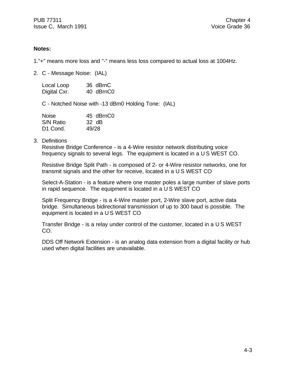1."+" means more loss and "-" means less loss compared to actual loss at 1004Hz.

2. C - Message Noise: (IAL)

| Local Loop   | 36 dBrnC  |
|--------------|-----------|
| Digital Cxr. | 40 dBrnC0 |

C - Notched Noise with -13 dBm0 Holding Tone: (IAL)

| <b>Noise</b>         | 45 dBrnC0 |
|----------------------|-----------|
| S/N Ratio            | 32 dB     |
| D <sub>1</sub> Cond. | 49/28     |

#### 3. Definitions

Resistive Bridge Conference - is a 4-Wire resistor network distributing voice frequency signals to several legs. The equipment is located in a U S WEST CO.

Resistive Bridge Split Path - is composed of 2- or 4-Wire resistor networks, one for transmit signals and the other for receive, located in a U S WEST CO

Select-A-Station - is a feature where one master poles a large number of slave ports in rapid sequence. The equipment is located in a U S WEST CO

Split Frequency Bridge - is a 4-Wire master port, 2-Wire slave port, active data bridge. Simultaneous bidirectional transmission of up to 300 baud is possible. The equipment is located in a U S WEST CO

Transfer Bridge - is a relay under control of the customer, located in a U S WEST CO.

DDS Off Network Extension - is an analog data extension from a digital facility or hub used when digital facilities are unavailable.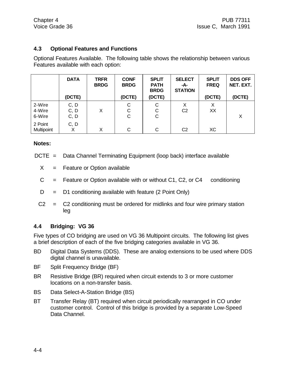# **4.3 Optional Features and Functions**

Optional Features Available. The following table shows the relationship between various Features available with each option:

|                              | <b>DATA</b><br>(DCTE) | <b>TRFR</b><br><b>BRDG</b> | <b>CONF</b><br><b>BRDG</b><br>(DCTE) | <b>SPLIT</b><br><b>PATH</b><br><b>BRDG</b><br>(DCTE) | <b>SELECT</b><br>-A-<br><b>STATION</b> | <b>SPLIT</b><br><b>FREQ</b><br>(DCTE) | <b>DDS OFF</b><br>NET. EXT.<br>(DCTE) |
|------------------------------|-----------------------|----------------------------|--------------------------------------|------------------------------------------------------|----------------------------------------|---------------------------------------|---------------------------------------|
| 2-Wire<br>4-Wire<br>6-Wire   | C, D<br>C, D<br>C, D  | Χ                          | C<br>C<br>C                          | С<br>С<br>С                                          | X<br>C <sub>2</sub>                    | X<br>XX                               | X                                     |
| 2 Point<br><b>Multipoint</b> | C, D<br>х             | X                          | C                                    | С                                                    | C <sub>2</sub>                         | ХC                                    |                                       |

#### **Notes:**

- DCTE = Data Channel Terminating Equipment (loop back) interface available
	- $X =$  Feature or Option available
	- $C =$  Feature or Option available with or without C1, C2, or C4 conditioning
	- $D = D1$  conditioning available with feature (2 Point Only)
	- $C2 = C2$  conditioning must be ordered for midlinks and four wire primary station leg

# **4.4 Bridging: VG 36**

Five types of CO bridging are used on VG 36 Multipoint circuits. The following list gives a brief description of each of the five bridging categories available in VG 36.

- BD Digital Data Systems (DDS). These are analog extensions to be used where DDS digital channel is unavailable.
- BF Split Frequency Bridge (BF)
- BR Resistive Bridge (BR) required when circuit extends to 3 or more customer locations on a non-transfer basis.
- BS Data Select-A-Station Bridge (BS)
- BT Transfer Relay (BT) required when circuit periodically rearranged in CO under customer control. Control of this bridge is provided by a separate Low-Speed Data Channel.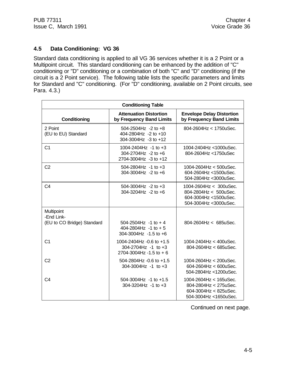# **4.5 Data Conditioning: VG 36**

Standard data conditioning is applied to all VG 36 services whether it is a 2 Point or a Multipoint circuit. This standard conditioning can be enhanced by the addition of "C" conditioning or "D" conditioning or a combination of both "C" and "D" conditioning (if the circuit is a 2 Point service). The following table lists the specific parameters and limits for Standard and "C" conditioning. (For "D" conditioning, available on 2 Point circuits, see Para. 4.3.)

| <b>Conditioning Table</b>      |                                                                                |                                                                                                                |  |  |
|--------------------------------|--------------------------------------------------------------------------------|----------------------------------------------------------------------------------------------------------------|--|--|
| Conditioning                   | <b>Attenuation Distortion</b><br>by Frequency Band Limits                      | <b>Envelope Delay Distortion</b><br>by Frequency Band Limits                                                   |  |  |
| 2 Point<br>(EU to EU) Standard | 504-2504Hz -2 to $+8$<br>404-2804Hz -2 to +10<br>304-3004Hz -3 to +12          | 804-2604Hz < 1750uSec.                                                                                         |  |  |
| C <sub>1</sub>                 | 1004-2404Hz -1 to $+3$<br>304-2704Hz -2 to $+6$<br>2704-3004Hz -3 to +12       | 1004-2404Hz <1000uSec.<br>804-2604Hz <1750uSec                                                                 |  |  |
| C <sub>2</sub>                 | 504-2804Hz -1 to $+3$<br>304-3004Hz -2 to $+6$                                 | $1004 - 2604$ Hz < $500$ uSec.<br>604-2604Hz <1500uSec.<br>504-2804Hz < 3000uSec.                              |  |  |
| C4                             | 504-3004Hz -2 to $+3$<br>304-3204Hz -2 to $+6$                                 | 1004-2604Hz < 300uSec.<br>804-2804Hz $< 500$ uSec.<br>604-3004Hz <1500uSec.<br>504-3004Hz < 3000uSec.          |  |  |
| Multipoint<br>-End Link-       |                                                                                |                                                                                                                |  |  |
| (EU to CO Bridge) Standard     | $504 - 2504$ Hz $-1$ to $+4$<br>404-2804Hz -1 to + 5<br>304-3004Hz -1.5 to +6  | $804 - 2604$ Hz $\lt$ 685u Sec.                                                                                |  |  |
| C <sub>1</sub>                 | 1004-2404Hz -0.6 to +1.5<br>$304-2704$ Hz -1 to +3<br>2704-3004Hz -1.5 to $+6$ | 1004-2404Hz < 400uSec.<br>804-2604Hz < 685uSec.                                                                |  |  |
| C <sub>2</sub>                 | 504-2804Hz -0.6 to +1.5<br>304-3004Hz -1 to $+3$                               | 1004-2604Hz < 200uSec.<br>604-2604Hz $<$ 600uSec.<br>504-2804Hz <1200uSec.                                     |  |  |
| C <sub>4</sub>                 | 504-3004Hz -1 to $+1.5$<br>304-3204Hz -1 to $+3$                               | $1004 - 2604$ Hz < $165$ uSec.<br>804-2804Hz < 275uSec.<br>$604 - 3004$ Hz < 825uSec.<br>504-3004Hz <1650uSec. |  |  |

Continued on next page.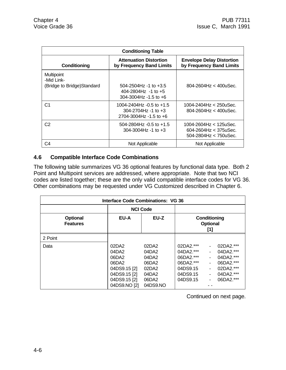| <b>Conditioning Table</b>                                      |                                                                                       |                                                                               |  |  |
|----------------------------------------------------------------|---------------------------------------------------------------------------------------|-------------------------------------------------------------------------------|--|--|
| Conditioning                                                   | <b>Attenuation Distortion</b><br>by Frequency Band Limits                             | <b>Envelope Delay Distortion</b><br>by Frequency Band Limits                  |  |  |
| <b>Multipoint</b><br>-Mid Link-<br>(Bridge to Bridge) Standard | $504 - 2504$ Hz -1 to $+3.5$<br>404-2804Hz -1 to $+5$<br>$304 - 3004$ Hz -1.5 to +6   | $804 - 2604$ Hz < $400$ uSec.                                                 |  |  |
| C1                                                             | 1004-2404Hz -0.5 to +1.5<br>$304 - 2704$ Hz -1 to $+3$<br>$2704 - 3004$ Hz -1.5 to +6 | 1004-2404Hz < 250uSec.<br>804-2604Hz < 400uSec.                               |  |  |
| C2                                                             | $504 - 2804$ Hz $-0.5$ to $+1.5$<br>$304 - 3004$ Hz -1 to $+3$                        | 1004-2604Hz < 125uSec.<br>$604 - 2604$ Hz < 375uSec.<br>504-2804Hz < 750uSec. |  |  |
| C4                                                             | Not Applicable                                                                        | Not Applicable                                                                |  |  |

# **4.6 Compatible Interface Code Combinations**

The following table summarizes VG 36 optional features by functional data type. Both 2 Point and Multipoint services are addressed, where appropriate. Note that two NCI codes are listed together; these are the only valid compatible interface codes for VG 36. Other combinations may be requested under VG Customized described in Chapter 6.

| <b>Interface Code Combinations: VG 36</b> |                                                                                                  |                                                                         |                                                                                         |                                        |                                                                                         |
|-------------------------------------------|--------------------------------------------------------------------------------------------------|-------------------------------------------------------------------------|-----------------------------------------------------------------------------------------|----------------------------------------|-----------------------------------------------------------------------------------------|
|                                           | <b>NCI Code</b>                                                                                  |                                                                         |                                                                                         |                                        |                                                                                         |
| <b>Optional</b><br><b>Features</b>        | EU-A<br>EU-Z                                                                                     |                                                                         |                                                                                         | Conditioning<br><b>Optional</b><br>[1] |                                                                                         |
| 2 Point                                   |                                                                                                  |                                                                         |                                                                                         |                                        |                                                                                         |
| Data                                      | 02DA2<br>04DA2<br>06DA2<br>06DA2<br>04DS9.15 [2]<br>04DS9.15 [2]<br>04DS9.15 [2]<br>04DS9.NO [2] | 02DA2<br>04DA2<br>04DA2<br>06DA2<br>02DA2<br>04DA2<br>06DA2<br>04DS9.NO | 02DA2.***<br>$04DA2.***$<br>06DA2. ***<br>06DA2.***<br>04DS9.15<br>04DS9.15<br>04DS9.15 | $\sim$<br>۰.                           | 02DA2.***<br>04DA2.***<br>04DA2.***<br>06DA2.***<br>02DA2.***<br>04DA2.***<br>06DA2.*** |

Continued on next page.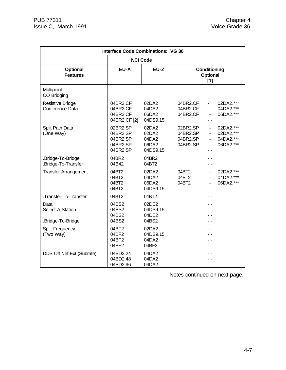| <b>Interface Code Combinations: VG 36</b>     |                                                          |                                              |                                              |                                                                          |
|-----------------------------------------------|----------------------------------------------------------|----------------------------------------------|----------------------------------------------|--------------------------------------------------------------------------|
|                                               |                                                          | <b>NCI Code</b>                              |                                              |                                                                          |
| <b>Optional</b><br><b>Features</b>            | EU-A<br>EU-Z                                             |                                              | Conditioning<br><b>Optional</b><br>$[1]$     |                                                                          |
| Multipoint<br>CO Bridging                     |                                                          |                                              |                                              |                                                                          |
| <b>Resistive Bridge</b><br>Conference Data    | 04BR2.CF<br>04BR2.CF<br>04BR2.CF<br>04BR2.CF [2]         | 02DA2<br>04DA2<br>06DA2<br>04DS9.15          | 04BR2.CF<br>04BR2.CF<br>04BR2.CF             | 02DA2.***<br>ä,<br>04DA2.***<br>$\blacksquare$<br>06DA2.***              |
| Split Path Data<br>(One Way)                  | 02BR2.SP<br>04BR2.SP<br>04BR2.SP<br>04BR2.SP<br>04BR2.SP | 02DA2<br>02DA2<br>04DA2<br>06DA2<br>04DS9.15 | 02BR2.SP<br>04BR2.SP<br>04BR2.SP<br>04BR2.SP | 02DA2.***<br>$\blacksquare$<br>02DA2.***<br>ä,<br>04DA2.***<br>06DA2.*** |
| .Bridge-To-Bridge<br>.Bridge-To-Transfer      | 04BR2<br>04B42                                           | 04BR2<br>04BT2                               |                                              |                                                                          |
| <b>Transfer Arrangement</b>                   | 04BT2<br>04BT2<br>04BT2<br>04BT2                         | 02DA2<br>04DA2<br>06DA2<br>04DS9.15          | 04BT2<br>04BT2<br>04BT2                      | 02DA2.***<br>÷,<br>04DA2.***<br>06DA2.***                                |
| Transfer-To-Transfer                          | 04BT2                                                    | 04BT2                                        |                                              |                                                                          |
| Data<br>Select-A-Station<br>.Bridge-To-Bridge | 04BS2<br>04BS2<br>04BS2<br>04BS2                         | 02DE2<br>04DS9.15<br>04DE2<br>04BS2          |                                              |                                                                          |
| <b>Split Frequency</b><br>(Two Way)           | 04BF2<br>04BF2<br>04BF2<br>04BF2                         | 02DA2<br>04DS9.15<br>04DA2<br>04BF2          |                                              |                                                                          |
| DDS Off Net Ext (Subrate)                     | 04BD2.24<br>04BD2.48<br>04BD2.96                         | 04DA2<br>04DA2<br>04DA2                      |                                              |                                                                          |

Notes continued on next page.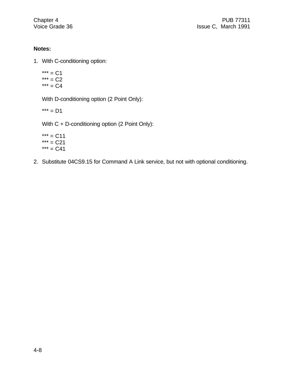- 1. With C-conditioning option:
	- $*** = C1$  $*** = C2$  $*** = C4$

With D-conditioning option (2 Point Only):

 $*** = D1$ 

With C + D-conditioning option (2 Point Only):

 $*** = C11$  $*** = C21$  $*** = C41$ 

2. Substitute 04CS9.15 for Command A Link service, but not with optional conditioning.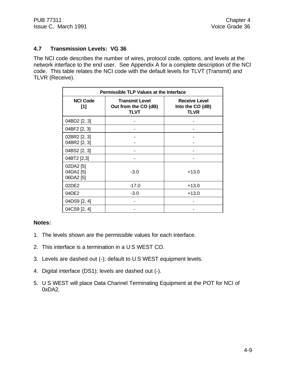# **4.7 Transmission Levels: VG 36**

The NCI code describes the number of wires, protocol code, options, and levels at the network interface to the end user. See Appendix A for a complete description of the NCI code. This table relates the NCI code with the default levels for TLVT (Transmit) and TLVR (Receive).

| <b>Permissible TLP Values at the Interface</b> |                                                              |                                                         |  |  |
|------------------------------------------------|--------------------------------------------------------------|---------------------------------------------------------|--|--|
| <b>NCI Code</b><br>[1]                         | <b>Transmit Level</b><br>Out from the CO (dB)<br><b>TLVT</b> | <b>Receive Level</b><br>Into the CO (dB)<br><b>TLVR</b> |  |  |
| 04BD2 [2, 3]                                   |                                                              |                                                         |  |  |
| 04BF2 [2, 3]                                   |                                                              |                                                         |  |  |
| 02BR2 [2, 3]<br>04BR2 [2, 3]                   |                                                              |                                                         |  |  |
| 04BS2 [2, 3]                                   |                                                              |                                                         |  |  |
| 04BT2 [2,3]                                    |                                                              |                                                         |  |  |
| 02DA2 [5]<br>04DA2 [5]<br>06DA2 [5]            | $-3.0$                                                       | $+13.0$                                                 |  |  |
| 02DE2                                          | $-17.0$                                                      | $+13.0$                                                 |  |  |
| 04DE2                                          | $-3.0$                                                       | $+13.0$                                                 |  |  |
| 04DS9 [2, 4]                                   |                                                              |                                                         |  |  |
| 04CS9 [2, 4]                                   |                                                              |                                                         |  |  |

#### **Notes:**

- 1. The levels shown are the permissible values for each interface.
- 2. This interface is a termination in a U S WEST CO.
- 3. Levels are dashed out (-); default to U S WEST equipment levels.
- 4. Digital interface (DS1); levels are dashed out (-).
- 5. U S WEST will place Data Channel Terminating Equipment at the POT for NCI of 0xDA2.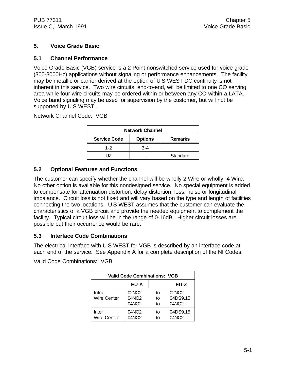## **5. Voice Grade Basic**

## **5.1 Channel Performance**

Voice Grade Basic (VGB) service is a 2 Point nonswitched service used for voice grade (300-3000Hz) applications without signaling or performance enhancements. The facility may be metallic or carrier derived at the option of U S WEST DC continuity is not inherent in this service. Two wire circuits, end-to-end, will be limited to one CO serving area while four wire circuits may be ordered within or between any CO within a LATA. Voice band signaling may be used for supervision by the customer, but will not be supported by U S WEST.

Network Channel Code: VGB

| <b>Network Channel</b> |                |                |
|------------------------|----------------|----------------|
| <b>Service Code</b>    | <b>Options</b> | <b>Remarks</b> |
| $1 - 2$                | $3 - 4$        |                |
|                        |                | Standard       |

## **5.2 Optional Features and Functions**

The customer can specify whether the channel will be wholly 2-Wire or wholly 4-Wire. No other option is available for this nondesigned service. No special equipment is added to compensate for attenuation distortion, delay distortion, loss, noise or longitudinal imbalance. Circuit loss is not fixed and will vary based on the type and length of facilities connecting the two locations. U S WEST assumes that the customer can evaluate the characteristics of a VGB circuit and provide the needed equipment to complement the facility. Typical circuit loss will be in the range of 0-16dB. Higher circuit losses are possible but their occurrence would be rare.

## **5.3 Interface Code Combinations**

The electrical interface with U S WEST for VGB is described by an interface code at each end of the service. See Appendix A for a complete description of the NI Codes.

Valid Code Combinations: VGB

| <b>Valid Code Combinations: VGB</b> |                                        |                |                                                    |
|-------------------------------------|----------------------------------------|----------------|----------------------------------------------------|
|                                     | <b>EU-A</b>                            |                | EU-Z                                               |
| Intra<br><b>Wire Center</b>         | 02NO <sub>2</sub><br>04NO2<br>04NO2    | t٥<br>to<br>t٥ | 02NO <sub>2</sub><br>04DS9.15<br>04NO <sub>2</sub> |
| Inter<br>Wire Center                | 04NO <sub>2</sub><br>04NO <sub>2</sub> | t٥<br>t٥       | 04DS9.15<br>04NO <sub>2</sub>                      |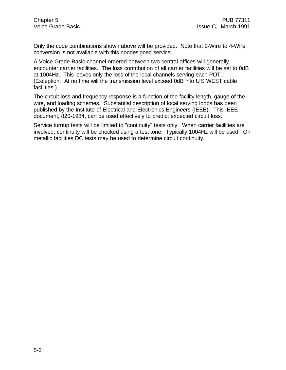Only the code combinations shown above will be provided. Note that 2-Wire to 4-Wire conversion is not available with this nondesigned service.

A Voice Grade Basic channel ordered between two central offices will generally encounter carrier facilities. The loss contribution of all carrier facilities will be set to 0dB at 1004Hz. This leaves only the loss of the local channels serving each POT. (Exception: At no time will the transmission level exceed 0dB into U S WEST cable facilities.)

The circuit loss and frequency response is a function of the facility length, gauge of the wire, and loading schemes. Substantial description of local serving loops has been published by the Institute of Electrical and Electronics Engineers (IEEE). This IEEE document, 820-1984, can be used effectively to predict expected circuit loss.

Service turnup tests will be limited to "continuity" tests only. When carrier facilities are involved, continuity will be checked using a test tone. Typically 1004Hz will be used. On metallic facilities DC tests may be used to determine circuit continuity.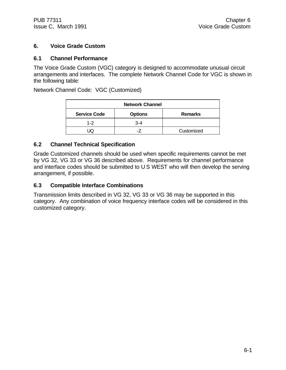# **6. Voice Grade Custom**

## **6.1 Channel Performance**

The Voice Grade Custom (VGC) category is designed to accommodate unusual circuit arrangements and interfaces. The complete Network Channel Code for VGC is shown in the following table:

Network Channel Code: VGC (Customized)

| <b>Network Channel</b>                                  |       |            |
|---------------------------------------------------------|-------|------------|
| <b>Service Code</b><br><b>Options</b><br><b>Remarks</b> |       |            |
| $1 - 2$                                                 | $3-4$ |            |
|                                                         |       | Customized |

## **6.2 Channel Technical Specification**

Grade Customized channels should be used when specific requirements cannot be met by VG 32, VG 33 or VG 36 described above. Requirements for channel performance and interface codes should be submitted to U S WEST who will then develop the serving arrangement, if possible.

## **6.3 Compatible Interface Combinations**

Transmission limits described in VG 32, VG 33 or VG 36 may be supported in this category. Any combination of voice frequency interface codes will be considered in this customized category.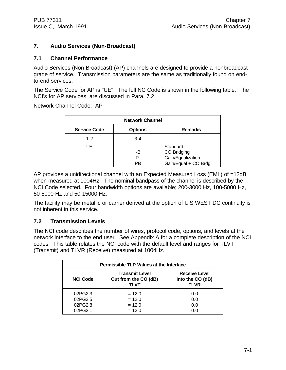## **7. Audio Services (Non-Broadcast)**

#### **7.1 Channel Performance**

Audio Services (Non-Broadcast) (AP) channels are designed to provide a nonbroadcast grade of service. Transmission parameters are the same as traditionally found on endto-end services.

The Service Code for AP is "UE". The full NC Code is shown in the following table. The NCI's for AP services, are discussed in Para. 7.2

Network Channel Code: AP

| <b>Network Channel</b> |                |                                              |
|------------------------|----------------|----------------------------------------------|
| <b>Service Code</b>    | <b>Options</b> | <b>Remarks</b>                               |
| $1 - 2$                | $3 - 4$        |                                              |
| UE                     | -B<br>P-       | Standard<br>CO Bridging<br>Gain/Equalization |
|                        | PB             | Gain/Equal + CO Brdg                         |

AP provides a unidirectional channel with an Expected Measured Loss (EML) of =12dB when measured at 1004Hz. The nominal bandpass of the channel is described by the NCI Code selected. Four bandwidth options are available; 200-3000 Hz, 100-5000 Hz, 50-8000 Hz and 50-15000 Hz.

The facility may be metallic or carrier derived at the option of U S WEST DC continuity is not inherent in this service.

## **7.2 Transmission Levels**

The NCI code describes the number of wires, protocol code, options, and levels at the network interface to the end user. See Appendix A for a complete description of the NCI codes. This table relates the NCI code with the default level and ranges for TLVT (Transmit) and TLVR (Receive) measured at 1004Hz.

| Permissible TLP Values at the Interface |                                                       |                                                         |
|-----------------------------------------|-------------------------------------------------------|---------------------------------------------------------|
| <b>NCI Code</b>                         | <b>Transmit Level</b><br>Out from the CO (dB)<br>TLVT | <b>Receive Level</b><br>Into the CO (dB)<br><b>TLVR</b> |
| 02PG2.3                                 | $= 12.0$                                              | 0.0                                                     |
| 02PG2.5                                 | $= 12.0$                                              | 0.0                                                     |
| 02PG2.8                                 | $= 12.0$                                              | 0.0                                                     |
| 02PG2.1                                 | $= 12.0$                                              | 0.0                                                     |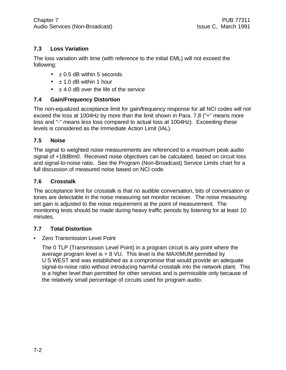# **7.3 Loss Variation**

The loss variation with time (with reference to the initial EML) will not exceed the following:

- $\cdot$   $\pm$  0.5 dB within 5 seconds
- $\cdot\quad \pm 1.0$  dB within 1 hour
- $\cdot$   $\pm$  4.0 dB over the life of the service

## **7.4 Gain/Frequency Distortion**

The non-equalized acceptance limit for gain/frequency response for all NCI codes will not exceed the loss at 1004Hz by more than the limit shown in Para. 7.8 ("+" means more loss and "-" means less loss compared to actual loss at 1004Hz). Exceeding these levels is considered as the Immediate Action Limit (IAL).

## **7.5 Noise**

The signal to weighted noise measurements are referenced to a maximum peak audio signal of +18dBm0. Received noise objectives can be calculated, based on circuit loss and signal-to-noise ratio. See the Program (Non-Broadcast) Service Limits chart for a full discussion of measured noise based on NCI code.

## **7.6 Crosstalk**

The acceptance limit for crosstalk is that no audible conversation, bits of conversation or tones are detectable in the noise measuring set monitor receiver. The noise measuring set gain is adjusted to the noise requirement at the point of measurement. The monitoring tests should be made during heavy traffic periods by listening for at least 10 minutes.

# **7.7 Total Distortion**

## • Zero Transmission Level Point

The 0 TLP (Transmission Level Point) in a program circuit is any point where the average program level is + 8 VU. This level is the MAXIMUM permitted by U S WEST and was established as a compromise that would provide an adequate signal-to-noise ratio without introducing harmful crosstalk into the network plant. This is a higher level than permitted for other services and is permissible only because of the relatively small percentage of circuits used for program audio.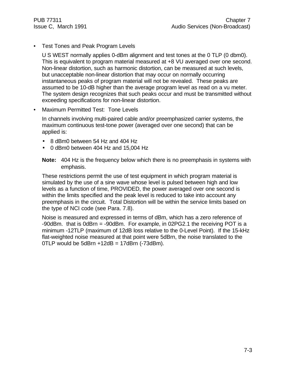• Test Tones and Peak Program Levels

U S WEST normally applies 0-dBm alignment and test tones at the 0 TLP (0 dbm0). This is equivalent to program material measured at +8 VU averaged over one second. Non-linear distortion, such as harmonic distortion, can be measured at such levels, but unacceptable non-linear distortion that may occur on normally occurring instantaneous peaks of program material will not be revealed. These peaks are assumed to be 10-dB higher than the average program level as read on a vu meter. The system design recognizes that such peaks occur and must be transmitted without exceeding specifications for non-linear distortion.

• Maximum Permitted Test: Tone Levels

In channels involving multi-paired cable and/or preemphasized carrier systems, the maximum continuous test-tone power (averaged over one second) that can be applied is:

- 8 dBm0 between 54 Hz and 404 Hz
- 0 dBm0 between 404 Hz and 15,004 Hz
- **Note:** 404 Hz is the frequency below which there is no preemphasis in systems with emphasis.

These restrictions permit the use of test equipment in which program material is simulated by the use of a sine wave whose level is pulsed between high and low levels as a function of time, PROVIDED, the power averaged over one second is within the limits specified and the peak level is reduced to take into account any preemphasis in the circuit. Total Distortion will be within the service limits based on the type of NCI code (see Para. 7.8).

Noise is measured and expressed in terms of dBm, which has a zero reference of -90dBm. that is 0dBrn = -90dBm. For example, in 02PG2.1 the receiving POT is a minimum -12TLP (maximum of 12dB loss relative to the 0-Level Point). If the 15-kHz flat-weighted noise measured at that point were 5dBrn, the noise translated to the  $0$ TLP would be 5dBrn  $+12$ dB = 17dBrn (-73dBm).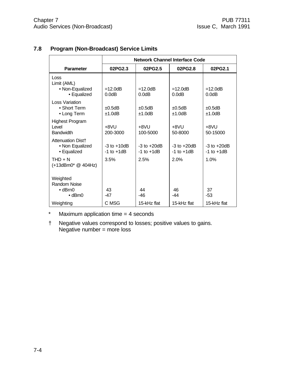|                                                                              | <b>Network Channel Interface Code</b> |                                    |                                    |                                    |
|------------------------------------------------------------------------------|---------------------------------------|------------------------------------|------------------------------------|------------------------------------|
| <b>Parameter</b>                                                             | 02PG2.3                               | 02PG2.5                            | 02PG2.8                            | 02PG2.1                            |
| Loss<br>Limit (AML)<br>• Non-Equalized<br>• Equalized                        | $=12.0dB$<br>0.0dB                    | $=12.0dB$<br>0.0dB                 | $=12.0dB$<br>0.0dB                 | $=12.0dB$<br>0.0dB                 |
| <b>Loss Variation</b><br>• Short Term<br>• Long Term                         | ±0.5dB<br>±1.0dB                      | $\pm 0.5$ dB<br>±1.0dB             | ±0.5dB<br>±1.0dB                   | $\pm 0.5$ dB<br>±1.0dB             |
| <b>Highest Program</b><br>Level<br><b>Bandwidth</b>                          | +8VU<br>200-3000                      | $+8VU$<br>100-5000                 | +8VU<br>50-8000                    | $+8VU$<br>50-15000                 |
| Attenuation Dist+<br>• Non Equalized<br>• Equalized                          | $-3$ to $+10$ dB<br>$-1$ to $+1$ dB   | $-3$ to $+20dB$<br>$-1$ to $+1$ dB | $-3$ to $+20dB$<br>$-1$ to $+1$ dB | $-3$ to $+20dB$<br>$-1$ to $+1$ dB |
| $THD + N$<br>(+13dBm0 <sup>*</sup> @ 404Hz)                                  | 3.5%                                  | 2.5%                               | 2.0%                               | 1.0%                               |
| Weighted<br><b>Random Noise</b><br>$\bullet$ dBrn $\theta$<br>$\bullet$ dBm0 | 43<br>-47                             | 44<br>$-46$                        | 46<br>$-44$                        | 37<br>-53                          |
| Weighting                                                                    | C MSG                                 | 15-kHz flat                        | 15-kHz flat                        | 15-kHz flat                        |

# **7.8 Program (Non-Broadcast) Service Limits**

- \* Maximum application time = 4 seconds
- † Negative values correspond to losses; positive values to gains. Negative number  $=$  more loss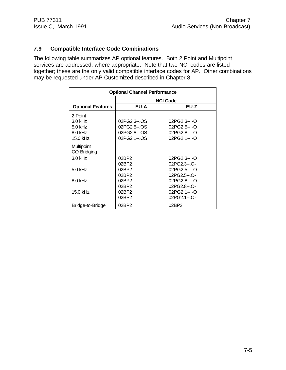# **7.9 Compatible Interface Code Combinations**

The following table summarizes AP optional features. Both 2 Point and Multipoint services are addressed, where appropriate. Note that two NCI codes are listed together; these are the only valid compatible interface codes for AP. Other combinations may be requested under AP Customized described in Chapter 8.

| <b>Optional Channel Performance</b> |              |                 |
|-------------------------------------|--------------|-----------------|
|                                     |              | <b>NCI Code</b> |
| <b>Optional Features</b>            | EU-A         | EU-Z            |
| 2 Point                             |              |                 |
| 3.0 kHz                             | 02PG2.3--.OS | 02PG2.3--.-O    |
| $5.0$ kHz                           | 02PG2.5--.OS | $02PG2.5-.0$    |
| 8.0 kHz                             | 02PG2.8--.OS | $02PG2.8-.0$    |
| 15.0 kHz                            | 02PG2.1--.OS | 02PG2.1--.-O    |
| Multipoint                          |              |                 |
| CO Bridging                         |              |                 |
| $3.0$ kHz                           | 02BP2        | $02PG2.3-.0$    |
|                                     | 02BP2        | 02PG2.3--.O-    |
| $5.0$ kHz                           | 02BP2        | 02PG2.5--.-O    |
|                                     | 02BP2        | $02PG2.5-.O-$   |
| 8.0 kHz                             | 02BP2        | 02PG2.8--.-O    |
|                                     | 02BP2        | 02PG2.8--.O-    |
| 15.0 kHz                            | 02BP2        | 02PG2.1--.-O    |
|                                     | 02BP2        | $02PG2.1 - O -$ |
| Bridge-to-Bridge                    | 02BP2        | 02BP2           |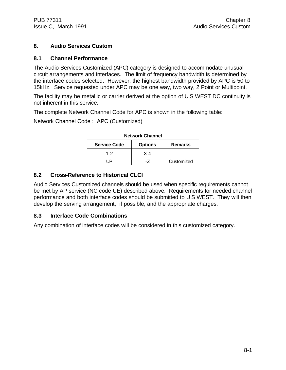## **8. Audio Services Custom**

#### **8.1 Channel Performance**

The Audio Services Customized (APC) category is designed to accommodate unusual circuit arrangements and interfaces. The limit of frequency bandwidth is determined by the interface codes selected. However, the highest bandwidth provided by APC is 50 to 15kHz. Service requested under APC may be one way, two way, 2 Point or Multipoint.

The facility may be metallic or carrier derived at the option of U S WEST DC continuity is not inherent in this service.

The complete Network Channel Code for APC is shown in the following table:

Network Channel Code : APC (Customized)

| <b>Network Channel</b> |                |                |
|------------------------|----------------|----------------|
| <b>Service Code</b>    | <b>Options</b> | <b>Remarks</b> |
| $1 - 2$                | $3 - 4$        |                |
| ID                     |                | Customized     |

## **8.2 Cross-Reference to Historical CLCI**

Audio Services Customized channels should be used when specific requirements cannot be met by AP service (NC code UE) described above. Requirements for needed channel performance and both interface codes should be submitted to U S WEST. They will then develop the serving arrangement, if possible, and the appropriate charges.

## **8.3 Interface Code Combinations**

Any combination of interface codes will be considered in this customized category.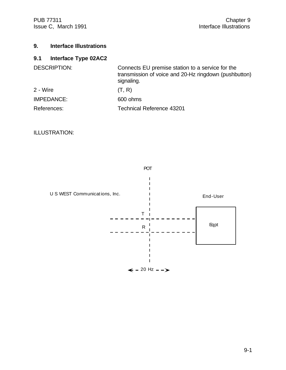PUB 77311 Chapter 9<br>Interface Illustrations (Interface Illustrations 1991) Issue C, March 1991

# **9. Interface Illustrations**

# **9.1 Interface Type 02AC2**

| <b>DESCRIPTION:</b> | Connects EU premise station to a service for the<br>transmission of voice and 20-Hz ringdown (pushbutton)<br>signaling. |
|---------------------|-------------------------------------------------------------------------------------------------------------------------|
| 2 - Wire            | (T, R)                                                                                                                  |
| IMPEDANCE:          | 600 ohms                                                                                                                |
| References:         | <b>Technical Reference 43201</b>                                                                                        |

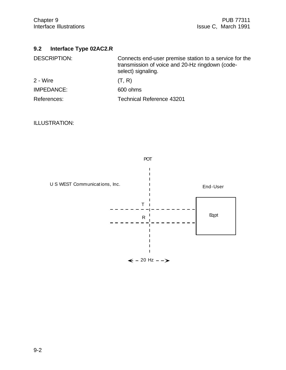# **9.2 Interface Type 02AC2.R**

| <b>DESCRIPTION:</b> | Connects end-user premise station to a service for the<br>transmission of voice and 20-Hz ringdown (code-<br>select) signaling. |
|---------------------|---------------------------------------------------------------------------------------------------------------------------------|
| 2 - Wire            | (T, R)                                                                                                                          |
| IMPEDANCE:          | 600 ohms                                                                                                                        |
| References:         | <b>Technical Reference 43201</b>                                                                                                |

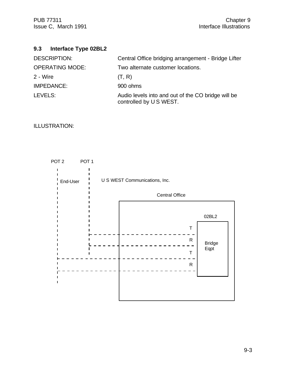# **9.3 Interface Type 02BL2**

| <b>DESCRIPTION:</b>    | Central Office bridging arrangement - Bridge Lifter                          |
|------------------------|------------------------------------------------------------------------------|
| <b>OPERATING MODE:</b> | Two alternate customer locations.                                            |
| 2 - Wire               | (T, R)                                                                       |
| IMPEDANCE:             | 900 ohms                                                                     |
| LEVELS:                | Audio levels into and out of the CO bridge will be<br>controlled by US WEST. |

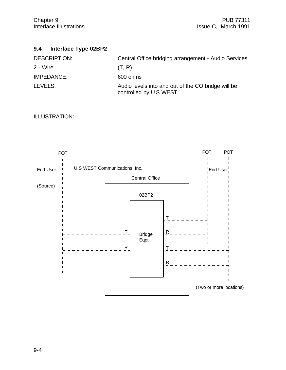# **9.4 Interface Type 02BP2**

| <b>DESCRIPTION:</b> | Central Office bridging arrangement - Audio Services                         |
|---------------------|------------------------------------------------------------------------------|
| 2 - Wire            | (T, R)                                                                       |
| IMPEDANCE:          | 600 ohms                                                                     |
| LEVELS:             | Audio levels into and out of the CO bridge will be<br>controlled by US WEST. |

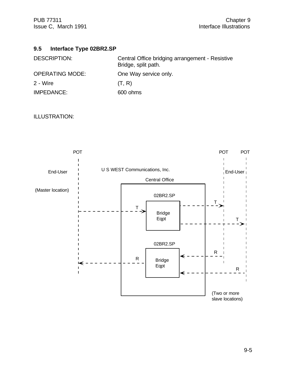## **9.5 Interface Type 02BR2.SP**

| DESCRIPTION:           | Central Office bridging arrangement - Resistive<br>Bridge, split path. |
|------------------------|------------------------------------------------------------------------|
| <b>OPERATING MODE:</b> | One Way service only.                                                  |
| 2 - Wire               | (T, R)                                                                 |
| IMPEDANCE:             | 600 ohms                                                               |

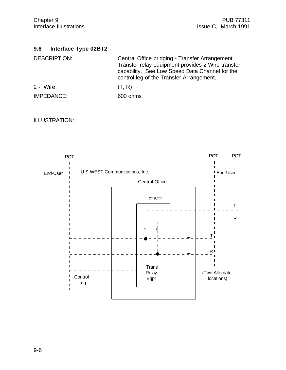## **9.6 Interface Type 02BT2**

| <b>DESCRIPTION:</b> | Central Office bridging - Transfer Arrangement.<br>Transfer relay equipment provides 2-Wire transfer<br>capability. See Low Speed Data Channel for the<br>control leg of the Transfer Arrangement. |
|---------------------|----------------------------------------------------------------------------------------------------------------------------------------------------------------------------------------------------|
| 2 - Wire            | (T, R)                                                                                                                                                                                             |

IMPEDANCE: 600 ohms

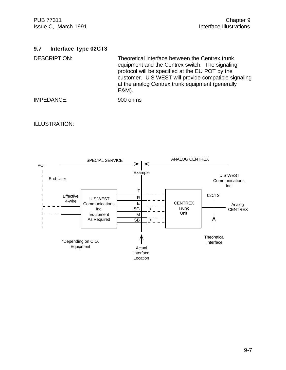#### **9.7 Interface Type 02CT3**

DESCRIPTION: Theoretical interface between the Centrex trunk equipment and the Centrex switch. The signaling protocol will be specified at the EU POT by the customer. U S WEST will provide compatible signaling at the analog Centrex trunk equipment (generally E&M).

IMPEDANCE: 900 ohms

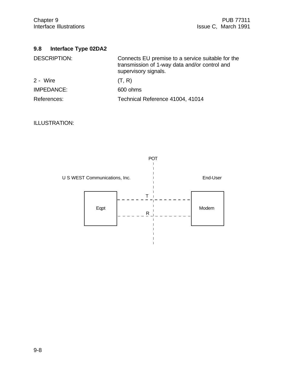# **9.8 Interface Type 02DA2**

| <b>DESCRIPTION:</b> | Connects EU premise to a service suitable for the<br>transmission of 1-way data and/or control and<br>supervisory signals. |
|---------------------|----------------------------------------------------------------------------------------------------------------------------|
| 2 - Wire            | (T, R)                                                                                                                     |
| IMPEDANCE:          | 600 ohms                                                                                                                   |
| References:         | Technical Reference 41004, 41014                                                                                           |

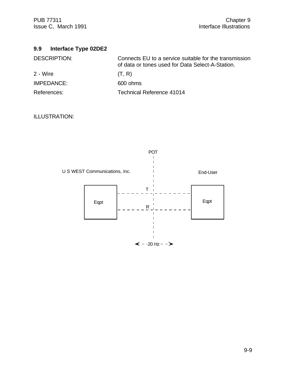PUB 77311 Chapter 9<br>Interface Illustrations (Interface Illustrations 1991) Issue C, March 1991

| 9.9 | Interface Type 02DE2 |  |  |
|-----|----------------------|--|--|
|-----|----------------------|--|--|

| <b>DESCRIPTION:</b> | Connects EU to a service suitable for the transmission<br>of data or tones used for Data Select-A-Station. |
|---------------------|------------------------------------------------------------------------------------------------------------|
| 2 - Wire            | (T, R)                                                                                                     |
| IMPEDANCE:          | 600 ohms                                                                                                   |
| References:         | Technical Reference 41014                                                                                  |

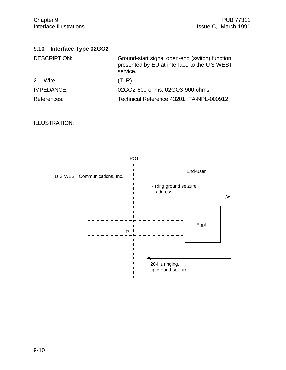# **9.10 Interface Type 02GO2**

| <b>DESCRIPTION:</b> | Ground-start signal open-end (switch) function<br>presented by EU at interface to the US WEST<br>service. |
|---------------------|-----------------------------------------------------------------------------------------------------------|
| 2 - Wire            | (T, R)                                                                                                    |
| IMPEDANCE:          | 02GO2-600 ohms, 02GO3-900 ohms                                                                            |
| References:         | Technical Reference 43201, TA-NPL-000912                                                                  |

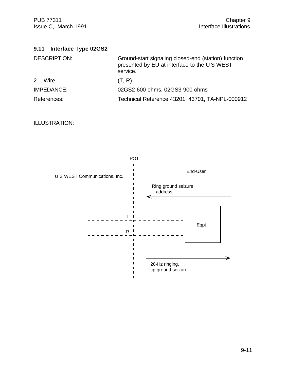| 9.11 Interface Type 02GS2 |  |
|---------------------------|--|
|---------------------------|--|

| <b>DESCRIPTION:</b> | Ground-start signaling closed-end (station) function<br>presented by EU at interface to the US WEST<br>service. |
|---------------------|-----------------------------------------------------------------------------------------------------------------|
| 2 - Wire            | (T, R)                                                                                                          |
| <b>IMPEDANCE:</b>   | 02GS2-600 ohms, 02GS3-900 ohms                                                                                  |
| References:         | Technical Reference 43201, 43701, TA-NPL-000912                                                                 |

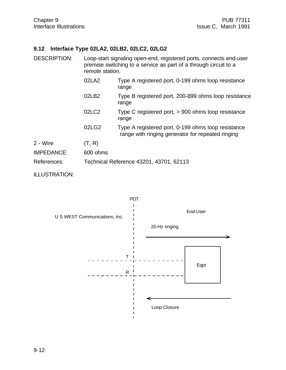## **9.12 Interface Type 02LA2, 02LB2, 02LC2, 02LG2**

| <b>DESCRIPTION:</b> | remote station.                         | Loop-start signaling open-end, registered ports, connects end-user<br>premise switching to a service as part of a through circuit to a |  |
|---------------------|-----------------------------------------|----------------------------------------------------------------------------------------------------------------------------------------|--|
|                     | 02LA2                                   | Type A registered port, 0-199 ohms loop resistance<br>range                                                                            |  |
|                     | 02LB2                                   | Type B registered port, 200-899 ohms loop resistance<br>range                                                                          |  |
|                     | 02LC2                                   | Type C registered port, $> 900$ ohms loop resistance<br>range                                                                          |  |
|                     | 02LG2                                   | Type A registered port, 0-199 ohms loop resistance<br>range with ringing generator for repeated ringing                                |  |
| 2 - Wire            | (T, R)                                  |                                                                                                                                        |  |
| <b>IMPEDANCE:</b>   | 600 ohms                                |                                                                                                                                        |  |
| References:         | Technical Reference 43201, 43701, 62113 |                                                                                                                                        |  |

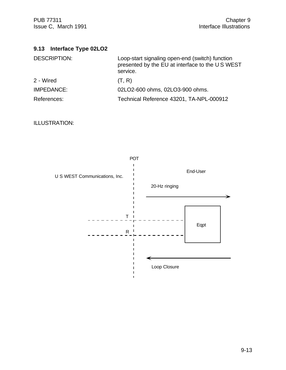PUB 77311 Chapter 9<br>Interface Illustrations (Interface Illustrations 1991) Issue C, March 1991

| 9.13 Interface Type 02LO2 |
|---------------------------|
|---------------------------|

| <b>DESCRIPTION:</b> | Loop-start signaling open-end (switch) function<br>presented by the EU at interface to the US WEST<br>service. |
|---------------------|----------------------------------------------------------------------------------------------------------------|
| 2 - Wired           | (T, R)                                                                                                         |
| IMPEDANCE:          | 02LO2-600 ohms, 02LO3-900 ohms.                                                                                |
| References:         | Technical Reference 43201, TA-NPL-000912                                                                       |

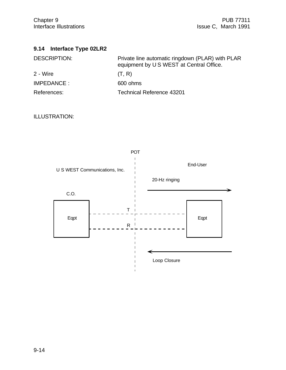|  | 9.14 Interface Type 02LR2 |  |  |
|--|---------------------------|--|--|
|--|---------------------------|--|--|

| <b>DESCRIPTION:</b> | Private line automatic ringdown (PLAR) with PLAR<br>equipment by U S WEST at Central Office. |
|---------------------|----------------------------------------------------------------------------------------------|
| 2 - Wire            | (T, R)                                                                                       |
| IMPEDANCE:          | 600 ohms                                                                                     |
| References:         | Technical Reference 43201                                                                    |

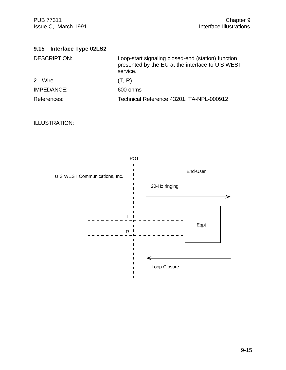PUB 77311 Chapter 9<br>Interface Illustrations (Interface Illustrations 1991) Issue C, March 1991

| 9.15 Interface Type 02LS2 |                                                                                                                    |
|---------------------------|--------------------------------------------------------------------------------------------------------------------|
| <b>DESCRIPTION:</b>       | Loop-start signaling closed-end (station) function<br>presented by the EU at the interface to U S WEST<br>service. |
| 2 - Wire                  | (T, R)                                                                                                             |
| <b>IMPEDANCE:</b>         | 600 ohms                                                                                                           |
| References:               | Technical Reference 43201, TA-NPL-000912                                                                           |

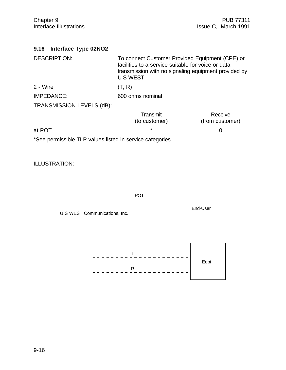| 9.16 Interface Type 02NO2 |  |
|---------------------------|--|
|---------------------------|--|

| <b>DESCRIPTION:</b>                                      | To connect Customer Provided Equipment (CPE) or<br>facilities to a service suitable for voice or data<br>transmission with no signaling equipment provided by<br>U S WEST. |                            |
|----------------------------------------------------------|----------------------------------------------------------------------------------------------------------------------------------------------------------------------------|----------------------------|
| 2 - Wire                                                 | (T, R)                                                                                                                                                                     |                            |
| <b>IMPEDANCE:</b>                                        | 600 ohms nominal                                                                                                                                                           |                            |
| TRANSMISSION LEVELS (dB):                                |                                                                                                                                                                            |                            |
|                                                          | Transmit<br>(to customer)                                                                                                                                                  | Receive<br>(from customer) |
| at POT                                                   | ¥                                                                                                                                                                          | O                          |
| *See permissible TLP values listed in service categories |                                                                                                                                                                            |                            |

ILLUSTRATION:



 $\blacksquare$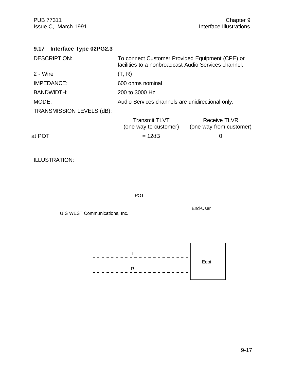PUB 77311 Chapter 9<br>Interface Illustrations (Interface Illustrations 1991) Issue C, March 1991

| 9.17 Interface Type 02PG2.3 |                                                                                                         |                                                |
|-----------------------------|---------------------------------------------------------------------------------------------------------|------------------------------------------------|
| <b>DESCRIPTION:</b>         | To connect Customer Provided Equipment (CPE) or<br>facilities to a nonbroadcast Audio Services channel. |                                                |
| 2 - Wire                    | (T, R)                                                                                                  |                                                |
| <b>IMPEDANCE:</b>           | 600 ohms nominal                                                                                        |                                                |
| <b>BANDWIDTH:</b>           | 200 to 3000 Hz                                                                                          |                                                |
| MODE:                       | Audio Services channels are unidirectional only.                                                        |                                                |
| TRANSMISSION LEVELS (dB):   |                                                                                                         |                                                |
|                             | <b>Transmit TLVT</b><br>(one way to customer)                                                           | <b>Receive TLVR</b><br>(one way from customer) |
| at POT                      | $= 12dB$                                                                                                | 0                                              |
|                             |                                                                                                         |                                                |

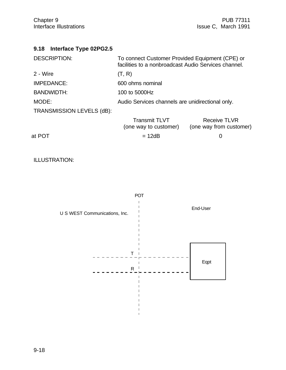| 9.18 Interface Type 02PG2.5 |  |
|-----------------------------|--|
|                             |  |

| <b>DESCRIPTION:</b>       | To connect Customer Provided Equipment (CPE) or<br>facilities to a nonbroadcast Audio Services channel. |                                                |
|---------------------------|---------------------------------------------------------------------------------------------------------|------------------------------------------------|
| 2 - Wire                  | (T, R)                                                                                                  |                                                |
| IMPEDANCE:                | 600 ohms nominal                                                                                        |                                                |
| <b>BANDWIDTH:</b>         | 100 to 5000Hz                                                                                           |                                                |
| MODE:                     | Audio Services channels are unidirectional only.                                                        |                                                |
| TRANSMISSION LEVELS (dB): |                                                                                                         |                                                |
|                           | <b>Transmit TLVT</b><br>(one way to customer)                                                           | <b>Receive TLVR</b><br>(one way from customer) |
| at POT                    | = 12dB                                                                                                  |                                                |

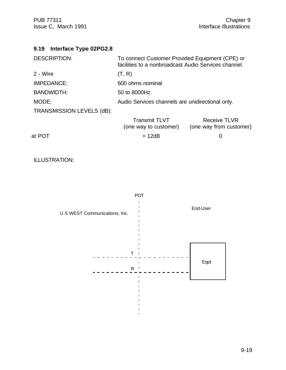PUB 77311 Chapter 9<br>Interface Illustrations (Interface Illustrations 1991) Issue C, March 1991

| Interface Type 02PG2.8<br>9.19 |                                                                                                         |                                                |
|--------------------------------|---------------------------------------------------------------------------------------------------------|------------------------------------------------|
| <b>DESCRIPTION:</b>            | To connect Customer Provided Equipment (CPE) or<br>facilities to a nonbroadcast Audio Services channel. |                                                |
| 2 - Wire                       | (T, R)                                                                                                  |                                                |
| <b>IMPEDANCE:</b>              | 600 ohms nominal                                                                                        |                                                |
| <b>BANDWIDTH:</b>              | 50 to 8000Hz                                                                                            |                                                |
| MODE:                          | Audio Services channels are unidirectional only.                                                        |                                                |
| TRANSMISSION LEVELS (dB):      |                                                                                                         |                                                |
|                                | <b>Transmit TLVT</b><br>(one way to customer)                                                           | <b>Receive TLVR</b><br>(one way from customer) |
| at POT                         | $= 12dB$                                                                                                | 0                                              |
|                                |                                                                                                         |                                                |

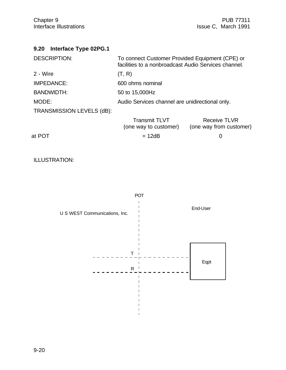| <b>Interface Type 02PG.1</b><br>9.20 |                                                                                                         |                                                |
|--------------------------------------|---------------------------------------------------------------------------------------------------------|------------------------------------------------|
| <b>DESCRIPTION:</b>                  | To connect Customer Provided Equipment (CPE) or<br>facilities to a nonbroadcast Audio Services channel. |                                                |
| 2 - Wire                             | (T, R)                                                                                                  |                                                |
| <b>IMPEDANCE:</b>                    | 600 ohms nominal                                                                                        |                                                |
| <b>BANDWIDTH:</b>                    | 50 to 15,000Hz                                                                                          |                                                |
| MODE:                                | Audio Services channel are unidirectional only.                                                         |                                                |
| TRANSMISSION LEVELS (dB):            |                                                                                                         |                                                |
|                                      | <b>Transmit TLVT</b><br>(one way to customer)                                                           | <b>Receive TLVR</b><br>(one way from customer) |
| at POT                               | $= 12dB$                                                                                                | 0                                              |
|                                      |                                                                                                         |                                                |

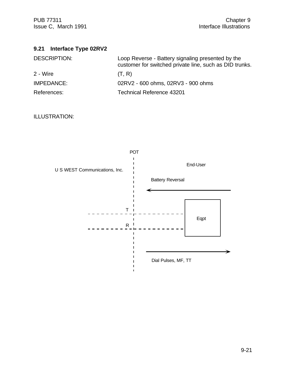PUB 77311 Chapter 9<br>Interface Illustrations (Interface Illustrations interface Illustrations of the Uniterface Illustrations of the U Issue C, March 1991

| <b>DESCRIPTION:</b> | Loop Reverse - Battery signaling presented by the<br>customer for switched private line, such as DID trunks. |
|---------------------|--------------------------------------------------------------------------------------------------------------|
| 2 - Wire            | (T, R)                                                                                                       |
| <b>IMPEDANCE:</b>   | 02RV2 - 600 ohms, 02RV3 - 900 ohms                                                                           |
| References:         | <b>Technical Reference 43201</b>                                                                             |

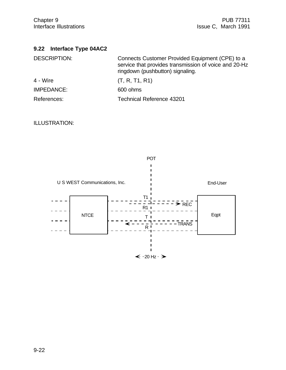# **9.22 Interface Type 04AC2**

| <b>DESCRIPTION:</b> | Connects Customer Provided Equipment (CPE) to a<br>service that provides transmission of voice and 20-Hz<br>ringdown (pushbutton) signaling. |
|---------------------|----------------------------------------------------------------------------------------------------------------------------------------------|
| 4 - Wire            | (T, R, T1, R1)                                                                                                                               |
| <b>IMPEDANCE:</b>   | 600 ohms                                                                                                                                     |
| References:         | <b>Technical Reference 43201</b>                                                                                                             |

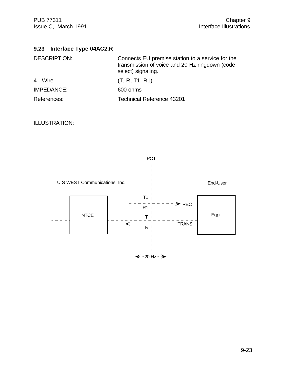# **9.23 Interface Type 04AC2.R**

| <b>DESCRIPTION:</b> | Connects EU premise station to a service for the<br>transmission of voice and 20-Hz ringdown (code<br>select) signaling. |
|---------------------|--------------------------------------------------------------------------------------------------------------------------|
| 4 - Wire            | (T, R, T1, R1)                                                                                                           |
| IMPEDANCE:          | 600 ohms                                                                                                                 |
| References:         | <b>Technical Reference 43201</b>                                                                                         |

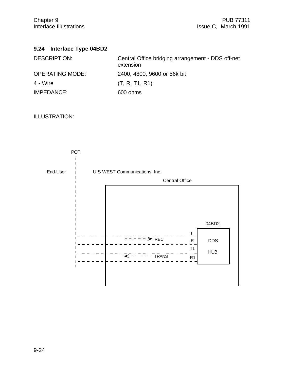# **9.24 Interface Type 04BD2**

| <b>DESCRIPTION:</b>    | Central Office bridging arrangement - DDS off-net<br>extension |
|------------------------|----------------------------------------------------------------|
| <b>OPERATING MODE:</b> | 2400, 4800, 9600 or 56k bit                                    |
| 4 - Wire               | (T, R, T1, R1)                                                 |
| IMPEDANCE:             | 600 ohms                                                       |

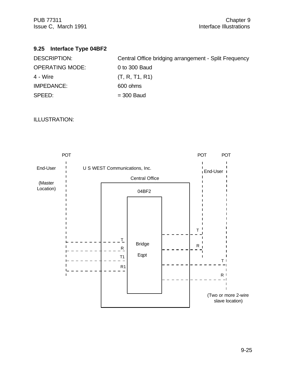# **9.25 Interface Type 04BF2**

| <b>DESCRIPTION:</b>    | Central Office bridging arrangement - Split Frequency |
|------------------------|-------------------------------------------------------|
| <b>OPERATING MODE:</b> | 0 to 300 Baud                                         |
| 4 - Wire               | (T, R, T1, R1)                                        |
| IMPEDANCE:             | 600 ohms                                              |
| SPEED:                 | $=$ 300 Baud                                          |

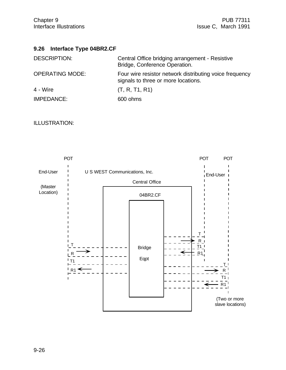# **9.26 Interface Type 04BR2.CF**

| <b>DESCRIPTION:</b>    | Central Office bridging arrangement - Resistive<br>Bridge, Conference Operation.               |
|------------------------|------------------------------------------------------------------------------------------------|
| <b>OPERATING MODE:</b> | Four wire resistor network distributing voice frequency<br>signals to three or more locations. |
| 4 - Wire               | (T, R, T1, R1)                                                                                 |
| <b>IMPEDANCE:</b>      | 600 ohms                                                                                       |

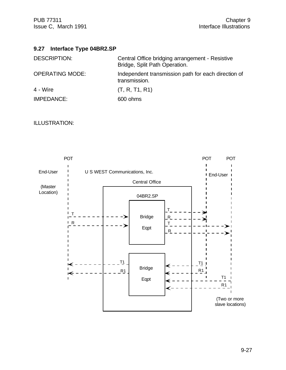## **9.27 Interface Type 04BR2.SP**

| <b>DESCRIPTION:</b>    | Central Office bridging arrangement - Resistive<br>Bridge, Split Path Operation. |
|------------------------|----------------------------------------------------------------------------------|
| <b>OPERATING MODE:</b> | Independent transmission path for each direction of<br>transmission.             |
| 4 - Wire               | (T, R, T1, R1)                                                                   |
| IMPEDANCE:             | 600 ohms                                                                         |

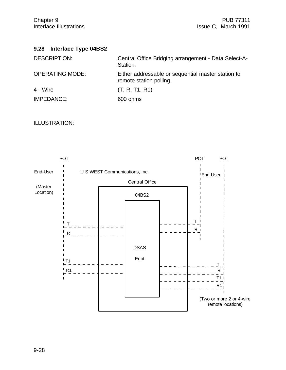#### **9.28 Interface Type 04BS2**

| <b>DESCRIPTION:</b>    | Central Office Bridging arrangement - Data Select-A-<br>Station.              |
|------------------------|-------------------------------------------------------------------------------|
| <b>OPERATING MODE:</b> | Either addressable or sequential master station to<br>remote station polling. |
| 4 - Wire               | (T, R, T1, R1)                                                                |
| IMPEDANCE:             | 600 ohms                                                                      |

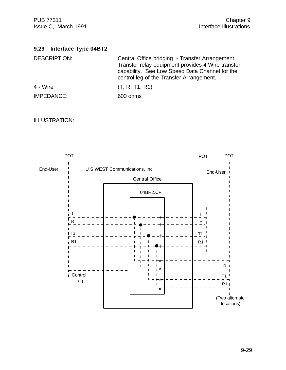PUB 77311 Chapter 9<br>Interface Illustrations (Interface Illustrations 1991) Issue C, March 1991

# **9.29 Interface Type 04BT2**

| <b>DESCRIPTION:</b> | Central Office bridging - Transfer Arrangement.<br>Transfer relay equipment provides 4-Wire transfer<br>capability. See Low Speed Data Channel for the<br>control leg of the Transfer Arrangement. |
|---------------------|----------------------------------------------------------------------------------------------------------------------------------------------------------------------------------------------------|
| 4 - Wire            | (T, R, T1, R1)                                                                                                                                                                                     |
| IMPEDANCE:          | 600 ohms                                                                                                                                                                                           |

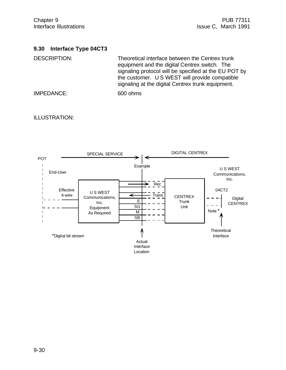#### **9.30 Interface Type 04CT3**

DESCRIPTION: Theoretical interface between the Centrex trunk equipment and the digital Centrex switch. The signaling protocol will be specified at the EU POT by the customer. U S WEST will provide compatible signaling at the digital Centrex trunk equipment.

IMPEDANCE: 600 ohms

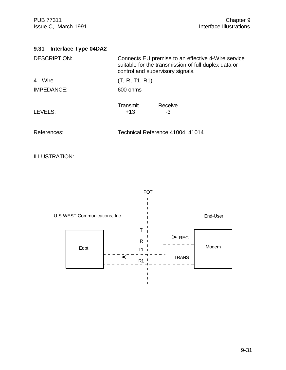PUB 77311 Chapter 9<br>Interface Illustrations (Interface Illustrations 1991) Issue C, March 1991

| <b>DESCRIPTION:</b> | Connects EU premise to an effective 4-Wire service<br>suitable for the transmission of full duplex data or<br>control and supervisory signals. |
|---------------------|------------------------------------------------------------------------------------------------------------------------------------------------|
| 4 - Wire            | (T, R, T1, R1)                                                                                                                                 |
| <b>IMPEDANCE:</b>   | 600 ohms                                                                                                                                       |
| LEVELS:             | Transmit<br>Receive<br>$+13$<br>-3                                                                                                             |
| References:         | Technical Reference 41004, 41014                                                                                                               |

ILLUSTRATION:

POT  $\mathbf{I}$ 

U S WEST Communications, Inc.

End-User



 $\mathbf{I}$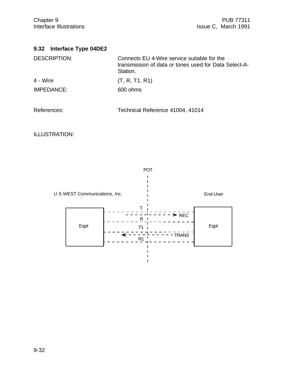|  | 9.32 Interface Type 04DE2 |  |  |
|--|---------------------------|--|--|
|--|---------------------------|--|--|

| <b>DESCRIPTION:</b> | Connects EU 4-Wire service suitable for the<br>transmission of data or tones used for Data Select-A-<br>Station. |
|---------------------|------------------------------------------------------------------------------------------------------------------|
| 4 - Wire            | (T, R, T1, R1)                                                                                                   |
| IMPEDANCE:          | 600 ohms                                                                                                         |
| References:         | Technical Reference 41004, 41014                                                                                 |

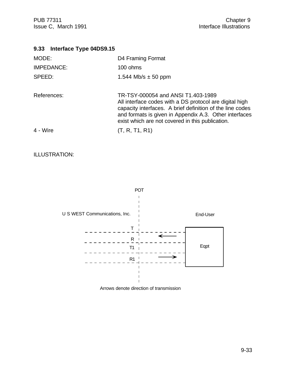PUB 77311 Chapter 9<br>Interface Illustrations (Interface Illustrations 1991) Issue C, March 1991

#### **9.33 Interface Type 04DS9.15**

| MODE:             | D4 Framing Format                                                                                                                                                                                                                                                        |
|-------------------|--------------------------------------------------------------------------------------------------------------------------------------------------------------------------------------------------------------------------------------------------------------------------|
| <b>IMPEDANCE:</b> | 100 ohms                                                                                                                                                                                                                                                                 |
| SPEED:            | 1.544 Mb/s $\pm$ 50 ppm                                                                                                                                                                                                                                                  |
|                   |                                                                                                                                                                                                                                                                          |
| References:       | TR-TSY-000054 and ANSI T1.403-1989<br>All interface codes with a DS protocol are digital high<br>capacity interfaces. A brief definition of the line codes<br>and formats is given in Appendix A.3. Other interfaces<br>exist which are not covered in this publication. |
| 4 - Wire          | (T, R, T1, R1)                                                                                                                                                                                                                                                           |
|                   |                                                                                                                                                                                                                                                                          |

#### ILLUSTRATION:



Arrows denote direction of transmission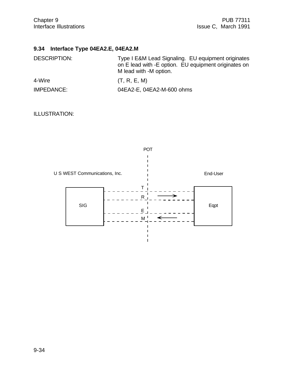# **9.34 Interface Type 04EA2.E, 04EA2.M**

| <b>DESCRIPTION:</b> | Type I E&M Lead Signaling. EU equipment originates<br>on E lead with -E option. EU equipment originates on<br>M lead with -M option. |
|---------------------|--------------------------------------------------------------------------------------------------------------------------------------|
| 4-Wire              | (T, R, E, M)                                                                                                                         |
| IMPEDANCE:          | 04EA2-E, 04EA2-M-600 ohms                                                                                                            |

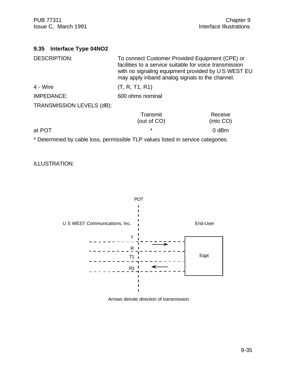| <b>Interface Type 04NO2</b><br>9.35 |                                                                                                                                                                                                                      |                      |
|-------------------------------------|----------------------------------------------------------------------------------------------------------------------------------------------------------------------------------------------------------------------|----------------------|
| <b>DESCRIPTION:</b>                 | To connect Customer Provided Equipment (CPE) or<br>facilities to a service suitable for voice transmission<br>with no signaling equipment provided by U S WEST EU<br>may apply inband analog signals to the channel. |                      |
| 4 - Wire                            | (T, R, T1, R1)                                                                                                                                                                                                       |                      |
| <b>IMPEDANCE:</b>                   | 600 ohms nominal                                                                                                                                                                                                     |                      |
| TRANSMISSION LEVELS (dB):           |                                                                                                                                                                                                                      |                      |
|                                     | Transmit<br>(out of CO)                                                                                                                                                                                              | Receive<br>(into CO) |
| at POT                              | $\star$                                                                                                                                                                                                              | $0$ dBm              |

\* Determined by cable loss, permissible TLP values listed in service categories.



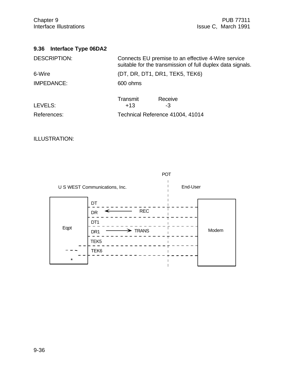| Interface Type 06DA2<br>9.36 |                                                                                                                  |
|------------------------------|------------------------------------------------------------------------------------------------------------------|
| <b>DESCRIPTION:</b>          | Connects EU premise to an effective 4-Wire service<br>suitable for the transmission of full duplex data signals. |
| 6-Wire                       | (DT, DR, DT1, DR1, TEK5, TEK6)                                                                                   |
| <b>IMPEDANCE:</b>            | 600 ohms                                                                                                         |
| LEVELS:                      | Transmit<br>Receive<br>$+13$<br>-3                                                                               |
| References:                  | Technical Reference 41004, 41014                                                                                 |

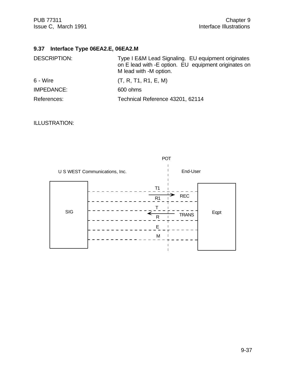# **9.37 Interface Type 06EA2.E, 06EA2.M**

| <b>DESCRIPTION:</b> | Type I E&M Lead Signaling. EU equipment originates<br>on E lead with -E option. EU equipment originates on<br>M lead with -M option. |
|---------------------|--------------------------------------------------------------------------------------------------------------------------------------|
| 6 - Wire            | (T, R, T1, R1, E, M)                                                                                                                 |
| IMPEDANCE:          | 600 ohms                                                                                                                             |
| References:         | Technical Reference 43201, 62114                                                                                                     |

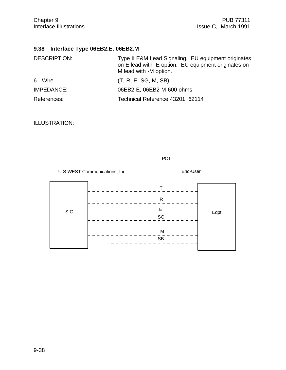# **9.38 Interface Type 06EB2.E, 06EB2.M**

| <b>DESCRIPTION:</b> | Type II E&M Lead Signaling. EU equipment originates<br>on E lead with -E option. EU equipment originates on<br>M lead with -M option. |
|---------------------|---------------------------------------------------------------------------------------------------------------------------------------|
| 6 - Wire            | (T, R, E, SG, M, SB)                                                                                                                  |
| IMPEDANCE:          | 06EB2-E, 06EB2-M-600 ohms                                                                                                             |
| References:         | Technical Reference 43201, 62114                                                                                                      |

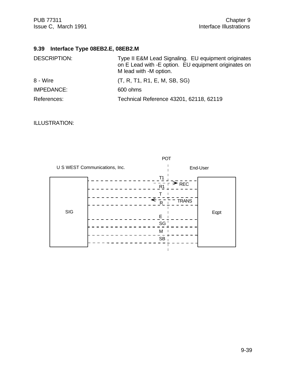# **9.39 Interface Type 08EB2.E, 08EB2.M**

| <b>DESCRIPTION:</b> | Type II E&M Lead Signaling. EU equipment originates<br>on E Lead with -E option. EU equipment originates on<br>M lead with -M option. |
|---------------------|---------------------------------------------------------------------------------------------------------------------------------------|
| 8 - Wire            | (T, R, T1, R1, E, M, SB, SG)                                                                                                          |
| IMPEDANCE:          | 600 ohms                                                                                                                              |
| References:         | Technical Reference 43201, 62118, 62119                                                                                               |

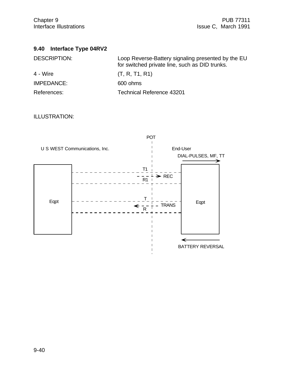| 9.40 Interface Type 04RV2 |  |  |
|---------------------------|--|--|
|---------------------------|--|--|

| <b>DESCRIPTION:</b> | Loop Reverse-Battery signaling presented by the EU<br>for switched private line, such as DID trunks. |
|---------------------|------------------------------------------------------------------------------------------------------|
| 4 - Wire            | (T, R, T1, R1)                                                                                       |
| IMPEDANCE:          | 600 ohms                                                                                             |
| References:         | <b>Technical Reference 43201</b>                                                                     |

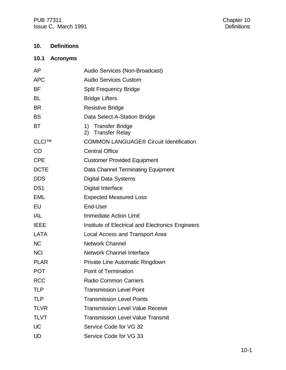PUB 77311<br>
Issue C, March 1991<br>
Issue C, March 1991 Issue C, March 1991

# **10. Definitions**

# **10.1 Acronyms**

| Audio Services (Non-Broadcast)                    |
|---------------------------------------------------|
| <b>Audio Services Custom</b>                      |
| Split Frequency Bridge                            |
| <b>Bridge Lifters</b>                             |
| <b>Resistive Bridge</b>                           |
| Data Select-A-Station Bridge                      |
| 1) Transfer Bridge<br>2) Transfer Relay           |
| <b>COMMON LANGUAGE® Circuit Identification</b>    |
| <b>Central Office</b>                             |
| <b>Customer Provided Equipment</b>                |
| Data Channel Terminating Equipment                |
| Digital Data Systems                              |
| Digital Interface                                 |
| <b>Expected Measured Loss</b>                     |
| End-User                                          |
| <b>Immediate Action Limit</b>                     |
| Institute of Electrical and Electronics Engineers |
| Local Access and Transport Area                   |
| <b>Network Channel</b>                            |
| <b>Network Channel Interface</b>                  |
| Private Line Automatic Ringdown                   |
| <b>Point of Termination</b>                       |
| <b>Radio Common Carriers</b>                      |
| <b>Transmission Level Point</b>                   |
| <b>Transmission Level Points</b>                  |
| <b>Transmission Level Value Receive</b>           |
| <b>Transmission Level Value Transmit</b>          |
| Service Code for VG 32                            |
| Service Code for VG 33                            |
|                                                   |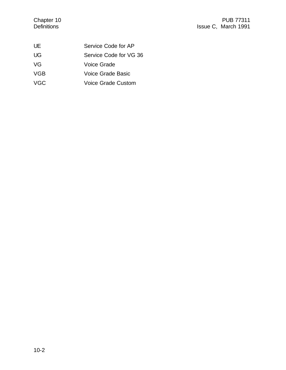| UE         | Service Code for AP       |
|------------|---------------------------|
| UG.        | Service Code for VG 36    |
| VG         | Voice Grade               |
| <b>VGB</b> | Voice Grade Basic         |
| <b>VGC</b> | <b>Voice Grade Custom</b> |
|            |                           |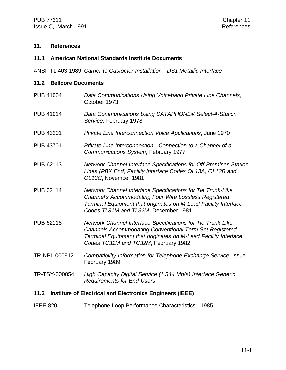#### **11. References**

#### **11.1 American National Standards Institute Documents**

ANSI T1.403-1989 *Carrier to Customer Installation - DS1 Metallic Interface*

#### **11.2 Bellcore Documents**

- PUB 41004 *Data Communications Using Voiceband Private Line Channels*, October 1973
- PUB 41014 *Data Communications Using DATAPHONE® Select-A-Station Service*, February 1978
- PUB 43201 *Private Line Interconnection Voice Applications*, June 1970
- PUB 43701 *Private Line Interconnection Connection to a Channel of a Communications System*, February 1977
- PUB 62113 *Network Channel Interface Specifications for Off-Premises Station Lines (PBX End) Facility Interface Codes OL13A, OL13B and OL13C*, November 1981
- PUB 62114 *Network Channel Interface Specifications for Tie Trunk-Like Channel's Accommodating Four Wire Lossless Registered Terminal Equipment that originates on M-Lead Facility Interface Codes TL31M and TL32M*, December 1981
- PUB 62118 *Network Channel Interface Specifications for Tie Trunk-Like Channels Accommodating Conventional Term Set Registered Terminal Equipment that originates on M-Lead Facility Interface Codes TC31M and TC32M*, February 1982
- TR-NPL-000912 *Compatibility Information for Telephone Exchange Service*, Issue 1, February 1989
- TR-TSY-000054 *High Capacity Digital Service (1.544 Mb/s) Interface Generic Requirements for End-Users*

#### **11.3 Institute of Electrical and Electronics Engineers (IEEE)**

IEEE 820 Telephone Loop Performance Characteristics - 1985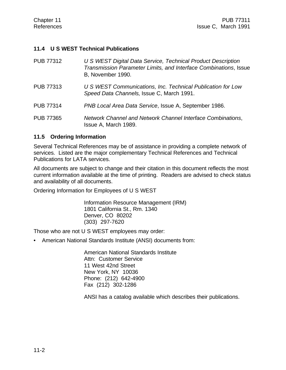#### **11.4 U S WEST Technical Publications**

| <b>PUB 77312</b> | U S WEST Digital Data Service, Technical Product Description<br>Transmission Parameter Limits, and Interface Combinations, Issue<br>B, November 1990. |
|------------------|-------------------------------------------------------------------------------------------------------------------------------------------------------|
| <b>PUB 77313</b> | U S WEST Communications, Inc. Technical Publication for Low<br>Speed Data Channels, Issue C, March 1991.                                              |
| <b>PUB 77314</b> | PNB Local Area Data Service, Issue A, September 1986.                                                                                                 |
| <b>PUB 77365</b> | Network Channel and Network Channel Interface Combinations,<br>Issue A, March 1989.                                                                   |

#### **11.5 Ordering Information**

Several Technical References may be of assistance in providing a complete network of services. Listed are the major complementary Technical References and Technical Publications for LATA services.

All documents are subject to change and their citation in this document reflects the most current information available at the time of printing. Readers are advised to check status and availability of all documents.

Ordering Information for Employees of U S WEST

Information Resource Management (IRM) 1801 California St., Rm. 1340 Denver, CO 80202 (303) 297-7620

Those who are not U S WEST employees may order:

• American National Standards Institute (ANSI) documents from:

American National Standards Institute Attn: Customer Service 11 West 42nd Street New York, NY 10036 Phone: (212) 642-4900 Fax (212) 302-1286

ANSI has a catalog available which describes their publications.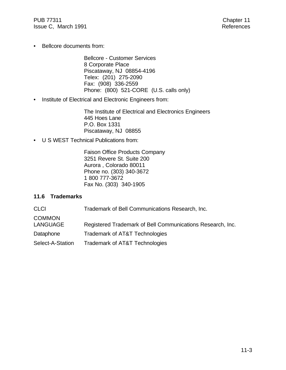PUB 77311 Chapter 11 Issue C, March 1991 **References** 

• Bellcore documents from:

Bellcore - Customer Services 8 Corporate Place Piscataway, NJ 08854-4196 Telex: (201) 275-2090 Fax: (908) 336-2559 Phone: (800) 521-CORE (U.S. calls only)

• Institute of Electrical and Electronic Engineers from:

The Institute of Electrical and Electronics Engineers 445 Hoes Lane P.O. Box 1331 Piscataway, NJ 08855

• U S WEST Technical Publications from:

Faison Office Products Company 3251 Revere St. Suite 200 Aurora , Colorado 80011 Phone no. (303) 340-3672 1 800 777-3672 Fax No. (303) 340-1905

#### **11.6 Trademarks**

| <b>CLCI</b>                      | Trademark of Bell Communications Research, Inc.            |
|----------------------------------|------------------------------------------------------------|
| <b>COMMON</b><br><b>LANGUAGE</b> | Registered Trademark of Bell Communications Research, Inc. |
| Dataphone                        | Trademark of AT&T Technologies                             |
| Select-A-Station                 | Trademark of AT&T Technologies                             |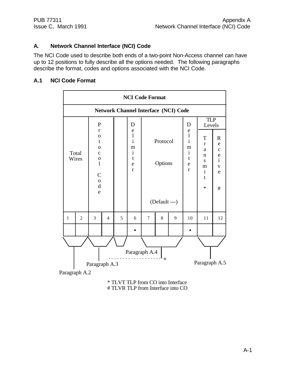## **A. Network Channel Interface (NCI) Code**

The NCI Code used to describe both ends of a two-point Non-Access channel can have up to 12 positions to fully describe all the options needed. The following paragraphs describe the format, codes and options associated with the NCI Code.

### **A.1 NCI Code Format**

|                | <b>NCI Code Format</b>                                 |                                                                                                                                                                |                |   |                                                                                                       |                                      |   |                                             |                                                                                            |                                                                                                           |                                                                                               |
|----------------|--------------------------------------------------------|----------------------------------------------------------------------------------------------------------------------------------------------------------------|----------------|---|-------------------------------------------------------------------------------------------------------|--------------------------------------|---|---------------------------------------------|--------------------------------------------------------------------------------------------|-----------------------------------------------------------------------------------------------------------|-----------------------------------------------------------------------------------------------|
|                |                                                        |                                                                                                                                                                |                |   |                                                                                                       |                                      |   | <b>Network Channel Interface (NCI) Code</b> |                                                                                            |                                                                                                           |                                                                                               |
| Total<br>Wires |                                                        | ${\bf P}$<br>$\mathbf{r}$<br>$\mathbf O$<br>t<br>$\mathbf 0$<br>$\mathbf{C}$<br>$\mathbf 0$<br>$\mathbf{l}$<br>$\mathsf{C}$<br>$\mathbf 0$<br>$\mathbf d$<br>e |                |   | D<br>$\mathbf e$<br>$\bf{l}$<br>$\mathbf{i}$<br>m<br>$\mathbf{i}$<br>$\mathbf t$<br>e<br>$\mathbf{r}$ | Protocol<br>Options<br>(Default ---) |   |                                             | D<br>$\mathbf e$<br>$\frac{1}{i}$<br>m<br>$\mathbf{i}$<br>$\mathbf t$<br>e<br>$\mathbf{r}$ | <b>TLP</b><br>Levels<br>T<br>$\bf r$<br>a<br>n<br>${\bf S}$<br>m<br>$\mathbf{i}$<br>$\mathbf t$<br>$\ast$ | $\mathbb{R}$<br>${\rm e}$<br>$\mathbf{C}$<br>$\frac{e}{i}$<br>$\mathbf V$<br>$\mathbf e$<br># |
| $\mathbf{1}$   | $\overline{2}$                                         | 3                                                                                                                                                              | $\overline{4}$ | 5 | 6                                                                                                     | $\tau$                               | 8 | 9                                           | 10                                                                                         | 11                                                                                                        | 12                                                                                            |
|                |                                                        |                                                                                                                                                                |                |   |                                                                                                       |                                      |   |                                             |                                                                                            |                                                                                                           |                                                                                               |
|                |                                                        |                                                                                                                                                                |                |   |                                                                                                       |                                      |   |                                             |                                                                                            |                                                                                                           |                                                                                               |
|                |                                                        |                                                                                                                                                                |                |   |                                                                                                       | Paragraph A.4                        |   |                                             |                                                                                            |                                                                                                           |                                                                                               |
|                | $+$<br>Paragraph A.5<br>Paragraph A.3<br>Paragraph A.2 |                                                                                                                                                                |                |   |                                                                                                       |                                      |   |                                             |                                                                                            |                                                                                                           |                                                                                               |

\* TLVT TLP from CO into Interface # TLVR TLP from Interface into CO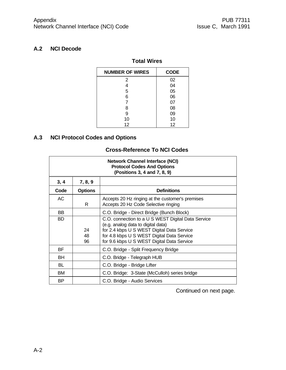## **A.2 NCI Decode**

# **Total Wires**

| <b>NUMBER OF WIRES</b> | <b>CODE</b> |
|------------------------|-------------|
| 2                      | 02          |
| 4                      | 04          |
| 5                      | 05          |
| 6                      | 06          |
| 7                      | 07          |
| 8                      | 08          |
| 9                      | 09          |
| 10                     | 10          |
| 12                     | 12          |

# **A.3 NCI Protocol Codes and Options**

# **Cross-Reference To NCI Codes**

| <b>Network Channel Interface (NCI)</b><br><b>Protocol Codes And Options</b><br>(Positions 3, 4 and 7, 8, 9) |                |                                                                                                                                                                                                                                    |  |  |
|-------------------------------------------------------------------------------------------------------------|----------------|------------------------------------------------------------------------------------------------------------------------------------------------------------------------------------------------------------------------------------|--|--|
| 3, 4                                                                                                        | 7, 8, 9        |                                                                                                                                                                                                                                    |  |  |
| Code                                                                                                        | <b>Options</b> | <b>Definitions</b>                                                                                                                                                                                                                 |  |  |
| <b>AC</b>                                                                                                   | R.             | Accepts 20 Hz ringing at the customer's premises<br>Accepts 20 Hz Code Selective ringing                                                                                                                                           |  |  |
| <b>BB</b>                                                                                                   |                | C.O. Bridge - Direct Bridge (Bunch Block)                                                                                                                                                                                          |  |  |
| <b>BD</b>                                                                                                   | 24<br>48<br>96 | C.O. connection to a U S WEST Digital Data Service<br>(e.g. analog data to digital data)<br>for 2.4 kbps U S WEST Digital Data Service<br>for 4.8 kbps U S WEST Digital Data Service<br>for 9.6 kbps U S WEST Digital Data Service |  |  |
| BF.                                                                                                         |                | C.O. Bridge - Split Frequency Bridge                                                                                                                                                                                               |  |  |
| BH                                                                                                          |                | C.O. Bridge - Telegraph HUB                                                                                                                                                                                                        |  |  |
| BL                                                                                                          |                | C.O. Bridge - Bridge Lifter                                                                                                                                                                                                        |  |  |
| <b>BM</b>                                                                                                   |                | C.O. Bridge: 3-State (McCulloh) series bridge                                                                                                                                                                                      |  |  |
| BP.                                                                                                         |                | C.O. Bridge - Audio Services                                                                                                                                                                                                       |  |  |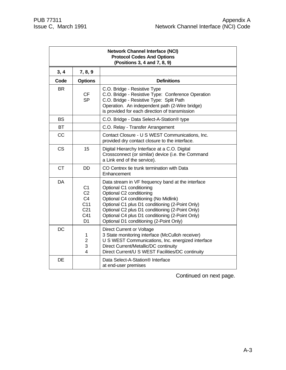| <b>Network Channel Interface (NCI)</b><br><b>Protocol Codes And Options</b><br>(Positions 3, 4 and 7, 8, 9) |                                                                                                                   |                                                                                                                                                                                                                                                                                                                                                        |  |  |
|-------------------------------------------------------------------------------------------------------------|-------------------------------------------------------------------------------------------------------------------|--------------------------------------------------------------------------------------------------------------------------------------------------------------------------------------------------------------------------------------------------------------------------------------------------------------------------------------------------------|--|--|
| 3, 4                                                                                                        | 7, 8, 9                                                                                                           |                                                                                                                                                                                                                                                                                                                                                        |  |  |
| Code                                                                                                        | <b>Options</b>                                                                                                    | <b>Definitions</b>                                                                                                                                                                                                                                                                                                                                     |  |  |
| <b>BR</b>                                                                                                   | <b>CF</b><br><b>SP</b>                                                                                            | C.O. Bridge - Resistive Type<br>C.O. Bridge - Resistive Type: Conference Operation<br>C.O. Bridge - Resistive Type: Split Path<br>Operation. An independent path (2-Wire bridge)<br>is provided for each direction of transmission                                                                                                                     |  |  |
| <b>BS</b>                                                                                                   |                                                                                                                   | C.O. Bridge - Data Select-A-Station® type                                                                                                                                                                                                                                                                                                              |  |  |
| <b>BT</b>                                                                                                   |                                                                                                                   | C.O. Relay - Transfer Arrangement                                                                                                                                                                                                                                                                                                                      |  |  |
| <b>CC</b>                                                                                                   |                                                                                                                   | Contact Closure - U S WEST Communications, Inc.<br>provided dry contact closure to the interface.                                                                                                                                                                                                                                                      |  |  |
| <b>CS</b>                                                                                                   | 15                                                                                                                | Digital Hierarchy Interface at a C.O. Digital<br>Crossconnect (or similar) device (i.e. the Command<br>a Link end of the service).                                                                                                                                                                                                                     |  |  |
| <b>CT</b>                                                                                                   | <b>DD</b>                                                                                                         | CO Centrex tie trunk termination with Data<br>Enhancement                                                                                                                                                                                                                                                                                              |  |  |
| <b>DA</b>                                                                                                   | C <sub>1</sub><br>C <sub>2</sub><br>C <sub>4</sub><br>C <sub>11</sub><br>C <sub>21</sub><br>C41<br>D <sub>1</sub> | Data stream in VF frequency band at the interface<br>Optional C1 conditioning<br>Optional C2 conditioning<br>Optional C4 conditioning (No Midlink)<br>Optional C1 plus D1 conditioning (2-Point Only)<br>Optional C2 plus D1 conditioning (2-Point Only)<br>Optional C4 plus D1 conditioning (2-Point Only)<br>Optional D1 conditioning (2-Point Only) |  |  |
| <b>DC</b>                                                                                                   | 1<br>$\overline{c}$<br>3<br>4                                                                                     | Direct Current or Voltage<br>3 State monitoring interface (McCulloh receiver)<br>U S WEST Communications, Inc. energized interface<br>Direct Current/Metallic/DC continuity<br>Direct Current/U S WEST Facilities/DC continuity                                                                                                                        |  |  |
| <b>DE</b>                                                                                                   |                                                                                                                   | Data Select-A-Station® Interface<br>at end-user premises                                                                                                                                                                                                                                                                                               |  |  |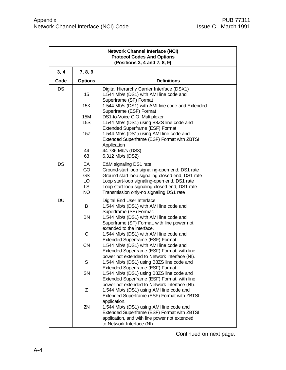| <b>Network Channel Interface (NCI)</b><br><b>Protocol Codes And Options</b><br>(Positions 3, 4 and 7, 8, 9) |                                                 |                                                                                                                                                                                                                                                                           |  |  |
|-------------------------------------------------------------------------------------------------------------|-------------------------------------------------|---------------------------------------------------------------------------------------------------------------------------------------------------------------------------------------------------------------------------------------------------------------------------|--|--|
| 3, 4                                                                                                        | 7, 8, 9                                         |                                                                                                                                                                                                                                                                           |  |  |
| Code                                                                                                        | <b>Options</b>                                  | <b>Definitions</b>                                                                                                                                                                                                                                                        |  |  |
| DS                                                                                                          | 15                                              | Digital Hierarchy Carrier Interface (DSX1)<br>1.544 Mb/s (DS1) with AMI line code and<br>Superframe (SF) Format                                                                                                                                                           |  |  |
|                                                                                                             | 15K                                             | 1.544 Mb/s (DS1) with AMI line code and Extended<br>Superframe (ESF) Format                                                                                                                                                                                               |  |  |
|                                                                                                             | 15M<br><b>15S</b>                               | DS1-to-Voice C.O. Multiplexer<br>1.544 Mb/s (DS1) using B8ZS line code and<br>Extended Superframe (ESF) Format                                                                                                                                                            |  |  |
|                                                                                                             | 15Z                                             | 1.544 Mb/s (DS1) using AMI line code and<br>Extended Superframe (ESF) Format with ZBTSI<br>Application                                                                                                                                                                    |  |  |
|                                                                                                             | 44<br>63                                        | 44.736 Mb/s (DS3)<br>6.312 Mb/s (DS2)                                                                                                                                                                                                                                     |  |  |
| <b>DS</b>                                                                                                   | EA<br>GO<br>GS<br>LO.<br><b>LS</b><br><b>NO</b> | E&M signaling DS1 rate<br>Ground-start loop signaling-open end, DS1 rate<br>Ground-start loop signaling-closed end, DS1 rate<br>Loop start-loop signaling-open end, DS1 rate<br>Loop start-loop signaling-closed end, DS1 rate<br>Transmission only-no signaling DS1 rate |  |  |
| <b>DU</b>                                                                                                   | B                                               | Digital End User Interface<br>1.544 Mb/s (DS1) with AMI line code and                                                                                                                                                                                                     |  |  |
|                                                                                                             | <b>BN</b>                                       | Superframe (SF) Format.<br>1.544 Mb/s (DS1) with AMI line code and<br>Superframe (SF) Format, with line power not                                                                                                                                                         |  |  |
|                                                                                                             | $\mathsf C$                                     | extended to the interface.<br>1.544 Mb/s (DS1) with AMI line code and<br>Extended Superframe (ESF) Format                                                                                                                                                                 |  |  |
|                                                                                                             | CN                                              | 1.544 Mb/s (DS1) with AMI line code and<br>Extended Superframe (ESF) Format, with line<br>power not extended to Network Interface (NI).                                                                                                                                   |  |  |
|                                                                                                             | S                                               | 1.544 Mb/s (DS1) using B8ZS line code and<br>Extended Superframe (ESF) Format.                                                                                                                                                                                            |  |  |
|                                                                                                             | SN                                              | 1.544 Mb/s (DS1) using B8ZS line code and<br>Extended Superframe (ESF) Format, with line<br>power not extended to Network Interface (NI).                                                                                                                                 |  |  |
|                                                                                                             | Z                                               | 1.544 Mb/s (DS1) using AMI line code and<br>Extended Superframe (ESF) Format with ZBTSI<br>application.                                                                                                                                                                   |  |  |
|                                                                                                             | ZN                                              | 1.544 Mb/s (DS1) using AMI line code and<br>Extended Superframe (ESF) Format with ZBTSI<br>application, and with line power not extended<br>to Network Interface (NI).                                                                                                    |  |  |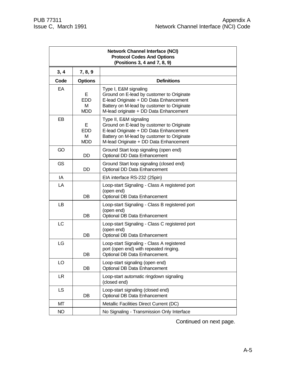| <b>Network Channel Interface (NCI)</b><br><b>Protocol Codes And Options</b><br>(Positions 3, 4 and 7, 8, 9) |                                    |                                                                                                                                                                                                       |  |  |  |  |  |  |
|-------------------------------------------------------------------------------------------------------------|------------------------------------|-------------------------------------------------------------------------------------------------------------------------------------------------------------------------------------------------------|--|--|--|--|--|--|
| 3, 4                                                                                                        | 7, 8, 9                            |                                                                                                                                                                                                       |  |  |  |  |  |  |
| Code                                                                                                        | <b>Options</b>                     | <b>Definitions</b>                                                                                                                                                                                    |  |  |  |  |  |  |
| EA                                                                                                          | Е<br><b>EDD</b><br>М<br>MDD        | Type I, E&M signaling<br>Ground on E-lead by customer to Originate<br>E-lead Originate + DD Data Enhancement<br>Battery on M-lead by customer to Originate<br>M-lead originate + DD Data Enhancement  |  |  |  |  |  |  |
| EB                                                                                                          | Е<br><b>EDD</b><br>м<br><b>MDD</b> | Type II, E&M signaling<br>Ground on E-lead by customer to Originate<br>E-lead Originate + DD Data Enhancement<br>Battery on M-lead by customer to Originate<br>M-lead Originate + DD Data Enhancement |  |  |  |  |  |  |
| GO                                                                                                          | DD.                                | Ground Start loop signaling (open end)<br>Optional DD Data Enhancement                                                                                                                                |  |  |  |  |  |  |
| <b>GS</b>                                                                                                   | <b>DD</b>                          | Ground Start loop signaling (closed end)<br>Optional DD Data Enhancement                                                                                                                              |  |  |  |  |  |  |
| IA.                                                                                                         |                                    | EIA interface RS-232 (25pin)                                                                                                                                                                          |  |  |  |  |  |  |
| LA                                                                                                          | DB                                 | Loop-start Signaling - Class A registered port<br>(open end)<br>Optional DB Data Enhancement                                                                                                          |  |  |  |  |  |  |
| LB                                                                                                          | DB                                 | Loop-start Signaling - Class B registered port<br>(open end)<br>Optional DB Data Enhancement                                                                                                          |  |  |  |  |  |  |
| LC                                                                                                          | DB                                 | Loop-start Signaling - Class C registered port<br>(open end)<br>Optional DB Data Enhancement                                                                                                          |  |  |  |  |  |  |
| <b>LG</b>                                                                                                   | DB                                 | Loop-start Signaling - Class A registered<br>port (open end) with repeated ringing.<br>Optional DB Data Enhancement.                                                                                  |  |  |  |  |  |  |
| LO                                                                                                          | DB                                 | Loop-start signaling (open end)<br>Optional DB Data Enhancement                                                                                                                                       |  |  |  |  |  |  |
| LR.                                                                                                         |                                    | Loop-start automatic ringdown signaling<br>(closed end)                                                                                                                                               |  |  |  |  |  |  |
| <b>LS</b>                                                                                                   | DB                                 | Loop-start signaling (closed end)<br>Optional DB Data Enhancement                                                                                                                                     |  |  |  |  |  |  |
| МT                                                                                                          |                                    | Metallic Facilities Direct Current (DC)                                                                                                                                                               |  |  |  |  |  |  |
| <b>NO</b>                                                                                                   |                                    | No Signaling - Transmission Only Interface                                                                                                                                                            |  |  |  |  |  |  |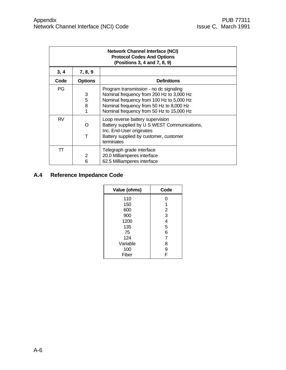| <b>Network Channel Interface (NCI)</b><br><b>Protocol Codes And Options</b><br>(Positions 3, 4 and 7, 8, 9) |                  |                                                                                                                                                                                                                           |  |  |  |  |  |  |
|-------------------------------------------------------------------------------------------------------------|------------------|---------------------------------------------------------------------------------------------------------------------------------------------------------------------------------------------------------------------------|--|--|--|--|--|--|
| 3, 4                                                                                                        | 7, 8, 9          |                                                                                                                                                                                                                           |  |  |  |  |  |  |
| Code                                                                                                        | <b>Options</b>   | <b>Definitions</b>                                                                                                                                                                                                        |  |  |  |  |  |  |
| PG                                                                                                          | 3<br>5<br>8<br>1 | Program transmission - no dc signaling<br>Nominal frequency from 200 Hz to 3,000 Hz<br>Nominal frequency from 100 Hz to 5,000 Hz<br>Nominal frequency from 50 Hz to 8,000 Hz<br>Nominal frequency from 50 Hz to 15,000 Hz |  |  |  |  |  |  |
| <b>RV</b>                                                                                                   | ∩<br>т           | Loop reverse battery supervision<br>Battery supplied by U S WEST Communications,<br>Inc. End-User originates<br>Battery supplied by customer, customer<br>terminates                                                      |  |  |  |  |  |  |
| TT                                                                                                          | 2<br>6           | Telegraph grade interface<br>20.0 Milliamperes interface<br>62.5 Milliamperes interface                                                                                                                                   |  |  |  |  |  |  |

# **A.4 Reference Impedance Code**

| Value (ohms) | Code           |  |  |
|--------------|----------------|--|--|
| 110          | 0              |  |  |
| 150          | 1              |  |  |
| 600          | 2              |  |  |
| 900          | 3              |  |  |
| 1200         | 4              |  |  |
| 135          | 5              |  |  |
| 75           | 6              |  |  |
| 124          | $\overline{7}$ |  |  |
| Variable     | 8              |  |  |
| 100          | 9              |  |  |
| Fiber        | F              |  |  |